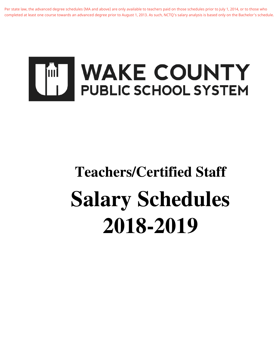Per state law, the advanced degree schedules (MA and above) are only available to teachers paid on those schedules prior to July 1, 2014, or to those who completed at least one course towards an advanced degree prior to August 1, 2013. As such, NCTQ's salary analysis is based only on the Bachelor's schedule.



# **Teachers/Certified Staff Salary Schedules 2018-2019**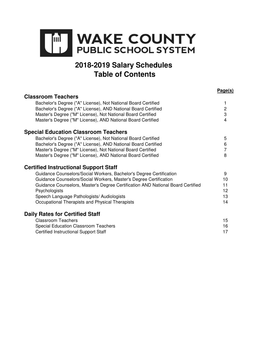

# **2018-2019 Salary Schedules Table of Contents**

**Page(s)**

| <b>Classroom Teachers</b>                                                       | <u>. ugolo</u> |
|---------------------------------------------------------------------------------|----------------|
| Bachelor's Degree ("A" License), Not National Board Certified                   |                |
| Bachelor's Degree ("A" License), AND National Board Certified                   | $\overline{c}$ |
| Master's Degree ("M" License), Not National Board Certified                     | 3              |
| Master's Degree ("M" License), AND National Board Certified                     | 4              |
| <b>Special Education Classroom Teachers</b>                                     |                |
| Bachelor's Degree ("A" License), Not National Board Certified                   | 5              |
| Bachelor's Degree ("A" License), AND National Board Certified                   | 6              |
| Master's Degree ("M" License), Not National Board Certified                     | 7              |
| Master's Degree ("M" License), AND National Board Certified                     | 8              |
| <b>Certified Instructional Support Staff</b>                                    |                |
| Guidance Counselors/Social Workers, Bachelor's Degree Certification             | 9              |
| Guidance Counselors/Social Workers, Master's Degree Certification               | 10             |
| Guidance Counselors, Master's Degree Certification AND National Board Certified | 11             |
| Psychologists                                                                   | 12             |
| Speech Language Pathologists/ Audiologists                                      | 13             |
| Occupational Therapists and Physical Therapists                                 | 14             |
| <b>Daily Rates for Certified Staff</b>                                          |                |
| <b>Classroom Teachers</b>                                                       | 15             |
| <b>Special Education Classroom Teachers</b>                                     | 16             |
| <b>Certified Instructional Support Staff</b>                                    | 17             |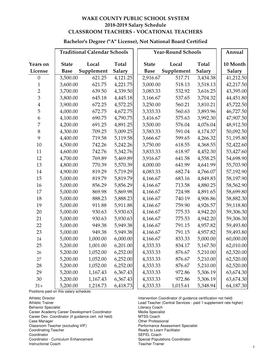#### **Bachelor's Degree ("A" License), Not National Board Certified**

|                  |              | <b>Traditional Calendar Schools</b> |               |              | <b>Year-Round Schools</b> |               |               |  |
|------------------|--------------|-------------------------------------|---------------|--------------|---------------------------|---------------|---------------|--|
| Years on         | <b>State</b> | Local                               | Total         | <b>State</b> | Local                     | Total         | 10 Month      |  |
| License          | <b>Base</b>  | Supplement                          | <b>Salary</b> | <b>Base</b>  | Supplement                | <b>Salary</b> | <b>Salary</b> |  |
| $\boldsymbol{0}$ | 3,500.00     | 621.25                              | 4,121.25      | 2,916.67     | 517.71                    | 3,434.38      | 41,212.50     |  |
| $\mathbf{1}$     | 3,600.00     | 621.75                              | 4,221.75      | 3,000.00     | 518.13                    | 3,518.13      | 42,217.50     |  |
| $\overline{2}$   | 3,700.00     | 639.50                              | 4,339.50      | 3,083.33     | 532.92                    | 3,616.25      | 43,395.00     |  |
| 3                | 3,800.00     | 645.18                              | 4,445.18      | 3,166.67     | 537.65                    | 3,704.32      | 44,451.80     |  |
| $\overline{4}$   | 3,900.00     | 672.25                              | 4,572.25      | 3,250.00     | 560.21                    | 3,810.21      | 45,722.50     |  |
| 5                | 4,000.00     | 672.75                              | 4,672.75      | 3,333.33     | 560.63                    | 3,893.96      | 46,727.50     |  |
| 6                | 4,100.00     | 690.75                              | 4,790.75      | 3,416.67     | 575.63                    | 3,992.30      | 47,907.50     |  |
| 7                | 4,200.00     | 691.25                              | 4,891.25      | 3,500.00     | 576.04                    | 4,076.04      | 48,912.50     |  |
| $8\,$            | 4,300.00     | 709.25                              | 5,009.25      | 3,583.33     | 591.04                    | 4,174.37      | 50,092.50     |  |
| 9                | 4,400.00     | 719.58                              | 5,119.58      | 3,666.67     | 599.65                    | 4,266.32      | 51,195.80     |  |
| 10               | 4,500.00     | 742.26                              | 5,242.26      | 3,750.00     | 618.55                    | 4,368.55      | 52,422.60     |  |
| 11               | 4,600.00     | 742.76                              | 5,342.76      | 3,833.33     | 618.97                    | 4,452.30      | 53,427.60     |  |
| 12               | 4,700.00     | 769.89                              | 5,469.89      | 3,916.67     | 641.58                    | 4,558.25      | 54,698.90     |  |
| 13               | 4,800.00     | 770.39                              | 5,570.39      | 4,000.00     | 641.99                    | 4,641.99      | 55,703.90     |  |
| 14               | 4,900.00     | 819.29                              | 5,719.29      | 4,083.33     | 682.74                    | 4,766.07      | 57,192.90     |  |
| 15               | 5,000.00     | 819.79                              | 5,819.79      | 4,166.67     | 683.16                    | 4,849.83      | 58,197.90     |  |
| 16               | 5,000.00     | 856.29                              | 5,856.29      | 4,166.67     | 713.58                    | 4,880.25      | 58,562.90     |  |
| 17               | 5,000.00     | 869.98                              | 5,869.98      | 4,166.67     | 724.98                    | 4,891.65      | 58,699.80     |  |
| 18               | 5,000.00     | 888.23                              | 5,888.23      | 4,166.67     | 740.19                    | 4,906.86      | 58,882.30     |  |
| 19               | 5,000.00     | 911.88                              | 5,911.88      | 4,166.67     | 759.90                    | 4,926.57      | 59,118.80     |  |
| 20               | 5,000.00     | 930.63                              | 5,930.63      | 4,166.67     | 775.53                    | 4,942.20      | 59,306.30     |  |
| 21               | 5,000.00     | 930.63                              | 5,930.63      | 4,166.67     | 775.53                    | 4,942.20      | 59,306.30     |  |
| 22               | 5,000.00     | 949.38                              | 5,949.38      | 4,166.67     | 791.15                    | 4,957.82      | 59,493.80     |  |
| 23               | 5,000.00     | 949.38                              | 5,949.38      | 4,166.67     | 791.15                    | 4,957.82      | 59,493.80     |  |
| 24               | 5,000.00     | 1,000.00                            | 6,000.00      | 4,166.67     | 833.33                    | 5,000.00      | 60,000.00     |  |
| 25               | 5,200.00     | 1,001.00                            | 6,201.00      | 4,333.33     | 834.17                    | 5,167.50      | 62,010.00     |  |
| 26               | 5,200.00     | 1,052.00                            | 6,252.00      | 4,333.33     | 876.67                    | 5,210.00      | 62,520.00     |  |
| 27               | 5,200.00     | 1,052.00                            | 6,252.00      | 4,333.33     | 876.67                    | 5,210.00      | 62,520.00     |  |
| 28               | 5,200.00     | 1,052.00                            | 6,252.00      | 4,333.33     | 876.67                    | 5,210.00      | 62,520.00     |  |
| 29               | 5,200.00     | 1,167.43                            | 6,367.43      | 4,333.33     | 972.86                    | 5,306.19      | 63,674.30     |  |
| 30               | 5,200.00     | 1,167.43                            | 6,367.43      | 4,333.33     | 972.86                    | 5,306.19      | 63,674.30     |  |
| $31+$            | 5,200.00     | 1,218.73                            | 6,418.73      | 4,333.33     | 1,015.61                  | 5,348.94      | 64,187.30     |  |

Positions paid on this salary schedule:

Career Academy Career Development Coordinator Media Special<br>Career Dev. Coordinator (if guidance cert. not held) MTSS Coach Career Dev. Coordinator (if guidance cert. not held)<br>Case Manager

Coordinator - Curriculum Enhancement<br>
Instructional Coach<br>
Teacher Trainer

**Instructional Coach** 

Athletic Director **Intervention Coordinator (if guidance certification not held)**<br>Athletic Trainer **Intervention Coordinator Central Services** - paid 1 supplement rate h Lead Teacher (Central Services - paid 1 supplement rate higher)<br>Literacy Coach Behavior Specialist<br>Career Academy Career Development Coordinator **Career Academy Career Development Coordinator** Case Manager Other Professional Classroom Teacher (excluding VIF) <br>
Coordinating Teacher (excluding VIF) Performance Assessment Specialist<br>
Ready to Learn Facilitator Ready to Learn Facilitator Coordinator<br>
Coordinator - Curriculum Enhancement<br>
Coordinator - Curriculum Enhancement<br>
Coordinator - Special Populations Coordinator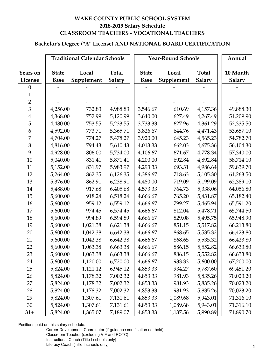# **Bachelor's Degree ("A" License) AND NATIONAL BOARD CERTIFICATION**

|                 |              | <b>Traditional Calendar Schools</b> |               |              | <b>Year-Round Schools</b> |               | Annual        |
|-----------------|--------------|-------------------------------------|---------------|--------------|---------------------------|---------------|---------------|
|                 |              |                                     |               |              |                           |               |               |
| <b>Years on</b> | <b>State</b> | Local                               | <b>Total</b>  | <b>State</b> | Local                     | <b>Total</b>  | 10 Month      |
| License         | <b>Base</b>  | Supplement                          | <b>Salary</b> | <b>Base</b>  | Supplement                | <b>Salary</b> | <b>Salary</b> |
| $\overline{0}$  |              |                                     |               |              |                           |               |               |
| 1               |              |                                     |               |              |                           |               |               |
| $\overline{2}$  |              |                                     |               |              |                           |               |               |
| $\overline{3}$  | 4,256.00     | 732.83                              | 4,988.83      | 3,546.67     | 610.69                    | 4,157.36      | 49,888.30     |
| $\overline{4}$  | 4,368.00     | 752.99                              | 5,120.99      | 3,640.00     | 627.49                    | 4,267.49      | 51,209.90     |
| 5               | 4,480.00     | 753.55                              | 5,233.55      | 3,733.33     | 627.96                    | 4,361.29      | 52,335.50     |
| 6               | 4,592.00     | 773.71                              | 5,365.71      | 3,826.67     | 644.76                    | 4,471.43      | 53,657.10     |
| 7               | 4,704.00     | 774.27                              | 5,478.27      | 3,920.00     | 645.23                    | 4,565.23      | 54,782.70     |
| $8\,$           | 4,816.00     | 794.43                              | 5,610.43      | 4,013.33     | 662.03                    | 4,675.36      | 56,104.30     |
| 9               | 4,928.00     | 806.00                              | 5,734.00      | 4,106.67     | 671.67                    | 4,778.34      | 57,340.00     |
| 10              | 5,040.00     | 831.41                              | 5,871.41      | 4,200.00     | 692.84                    | 4,892.84      | 58,714.10     |
| 11              | 5,152.00     | 831.97                              | 5,983.97      | 4,293.33     | 693.31                    | 4,986.64      | 59,839.70     |
| 12              | 5,264.00     | 862.35                              | 6,126.35      | 4,386.67     | 718.63                    | 5,105.30      | 61,263.50     |
| 13              | 5,376.00     | 862.91                              | 6,238.91      | 4,480.00     | 719.09                    | 5,199.09      | 62,389.10     |
| 14              | 5,488.00     | 917.68                              | 6,405.68      | 4,573.33     | 764.73                    | 5,338.06      | 64,056.80     |
| 15              | 5,600.00     | 918.24                              | 6,518.24      | 4,666.67     | 765.20                    | 5,431.87      | 65,182.40     |
| 16              | 5,600.00     | 959.12                              | 6,559.12      | 4,666.67     | 799.27                    | 5,465.94      | 65,591.20     |
| 17              | 5,600.00     | 974.45                              | 6,574.45      | 4,666.67     | 812.04                    | 5,478.71      | 65,744.50     |
| 18              | 5,600.00     | 994.89                              | 6,594.89      | 4,666.67     | 829.08                    | 5,495.75      | 65,948.90     |
| 19              | 5,600.00     | 1,021.38                            | 6,621.38      | 4,666.67     | 851.15                    | 5,517.82      | 66,213.80     |
| 20              | 5,600.00     | 1,042.38                            | 6,642.38      | 4,666.67     | 868.65                    | 5,535.32      | 66,423.80     |
| 21              | 5,600.00     | 1,042.38                            | 6,642.38      | 4,666.67     | 868.65                    | 5,535.32      | 66,423.80     |
| 22              | 5,600.00     | 1,063.38                            | 6,663.38      | 4,666.67     | 886.15                    | 5,552.82      | 66,633.80     |
| 23              | 5,600.00     | 1,063.38                            | 6,663.38      | 4,666.67     | 886.15                    | 5,552.82      | 66,633.80     |
| 24              | 5,600.00     | 1,120.00                            | 6,720.00      | 4,666.67     | 933.33                    | 5,600.00      | 67,200.00     |
| 25              | 5,824.00     | 1,121.12                            | 6,945.12      | 4,853.33     | 934.27                    | 5,787.60      | 69,451.20     |
| 26              | 5,824.00     | 1,178.32                            | 7,002.32      | 4,853.33     | 981.93                    | 5,835.26      | 70,023.20     |
| 27              | 5,824.00     | 1,178.32                            | 7,002.32      | 4,853.33     | 981.93                    | 5,835.26      | 70,023.20     |
| 28              | 5,824.00     | 1,178.32                            | 7,002.32      | 4,853.33     | 981.93                    | 5,835.26      | 70,023.20     |
| 29              | 5,824.00     | 1,307.61                            | 7,131.61      | 4,853.33     | 1,089.68                  | 5,943.01      | 71,316.10     |
| 30              | 5,824.00     | 1,307.61                            | 7,131.61      | 4,853.33     | 1,089.68                  | 5,943.01      | 71,316.10     |
| $31+$           | 5,824.00     | 1,365.07                            | 7,189.07      | 4,853.33     | 1,137.56                  | 5,990.89      | 71,890.70     |

Positions paid on this salary schedule:

Career Development Coordinator (if guidance certification not held) Classroom Teacher (excluding VIF and ROTC) Instructional Coach (Title I schools only) Literacy Coach (Title I schools only) 2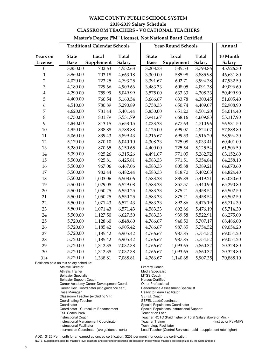#### **Master's Degree ("M" License), Not National Board Certified**

|                  |              | <b>Traditional Calendar Schools</b> |              |              | <b>Year-Round Schools</b> |              | Annual    |
|------------------|--------------|-------------------------------------|--------------|--------------|---------------------------|--------------|-----------|
| Years on         | <b>State</b> | Local                               | <b>Total</b> | <b>State</b> | Local                     | <b>Total</b> | 10 Month  |
| License          | <b>Base</b>  | Supplement                          | Salary       | <b>Base</b>  | Supplement                | Salary       | Salary    |
| $\boldsymbol{0}$ | 3,850.00     | 702.63                              | 4,552.63     | 3,208.33     | 585.53                    | 3,793.86     | 45,526.30 |
| $\mathbf{1}$     | 3,960.00     | 703.18                              | 4,663.18     | 3,300.00     | 585.98                    | 3,885.98     | 46,631.80 |
| $\overline{2}$   | 4,070.00     | 723.25                              | 4,793.25     | 3,391.67     | 602.71                    | 3,994.38     | 47,932.50 |
| 3                | 4,180.00     | 729.66                              | 4,909.66     | 3,483.33     | 608.05                    | 4,091.38     | 49,096.60 |
| $\overline{4}$   | 4,290.00     | 759.99                              | 5,049.99     | 3,575.00     | 633.33                    | 4,208.33     | 50,499.90 |
| 5                | 4,400.00     | 760.54                              | 5,160.54     | 3,666.67     | 633.78                    | 4,300.45     | 51,605.40 |
| 6                | 4,510.00     | 780.89                              | 5,290.89     | 3,758.33     | 650.74                    | 4,409.07     | 52,908.90 |
| $\overline{7}$   | 4,620.00     | 781.44                              | 5,401.44     | 3,850.00     | 651.20                    | 4,501.20     | 54,014.40 |
| 8                | 4,730.00     | 801.79                              | 5,531.79     | 3,941.67     | 668.16                    | 4,609.83     | 55,317.90 |
| 9                | 4,840.00     | 813.15                              | 5,653.15     | 4,033.33     | 677.63                    | 4,710.96     | 56,531.50 |
| 10               | 4,950.00     | 838.88                              | 5,788.88     | 4,125.00     | 699.07                    | 4,824.07     | 57,888.80 |
| 11               | 5,060.00     | 839.43                              | 5,899.43     | 4,216.67     | 699.53                    | 4,916.20     | 58,994.30 |
| 12               | 5,170.00     | 870.10                              | 6,040.10     | 4,308.33     | 725.08                    | 5,033.41     | 60,401.00 |
| 13               | 5,280.00     | 870.65                              | 6,150.65     | 4,400.00     | 725.54                    | 5,125.54     | 61,506.50 |
| 14               | 5,390.00     | 925.26                              | 6,315.26     | 4,491.67     | 771.05                    | 5,262.72     | 63,152.60 |
| 15               | 5,500.00     | 925.81                              | 6,425.81     | 4,583.33     | 771.51                    | 5,354.84     | 64,258.10 |
| 16               | 5,500.00     | 967.06                              | 6,467.06     | 4,583.33     | 805.88                    | 5,389.21     | 64,670.60 |
| 17               | 5,500.00     | 982.44                              | 6,482.44     | 4,583.33     | 818.70                    | 5,402.03     | 64,824.40 |
| 18               | 5,500.00     | 1,003.06                            | 6,503.06     | 4,583.33     | 835.88                    | 5,419.21     | 65,030.60 |
| 19               | 5,500.00     | 1,029.08                            | 6,529.08     | 4,583.33     | 857.57                    | 5,440.90     | 65,290.80 |
| 20               | 5,500.00     | 1,050.25                            | 6,550.25     | 4,583.33     | 875.21                    | 5,458.54     | 65,502.50 |
| 21               | 5,500.00     | 1,050.25                            | 6,550.25     | 4,583.33     | 875.21                    | 5,458.54     | 65,502.50 |
| 22               | 5,500.00     | 1,071.43                            | 6,571.43     | 4,583.33     | 892.86                    | 5,476.19     | 65,714.30 |
| 23               | 5,500.00     | 1,071.43                            | 6,571.43     | 4,583.33     | 892.86                    | 5,476.19     | 65,714.30 |
| 24               | 5,500.00     | 1,127.50                            | 6,627.50     | 4,583.33     | 939.58                    | 5,522.91     | 66,275.00 |
| 25               | 5,720.00     | 1,128.60                            | 6,848.60     | 4,766.67     | 940.50                    | 5,707.17     | 68,486.00 |
| 26               | 5,720.00     | 1,185.42                            | 6,905.42     | 4,766.67     | 987.85                    | 5,754.52     | 69,054.20 |
| 27               | 5,720.00     | 1,185.42                            | 6,905.42     | 4,766.67     | 987.85                    | 5,754.52     | 69,054.20 |
| 28               | 5,720.00     | 1,185.42                            | 6,905.42     | 4,766.67     | 987.85                    | 5,754.52     | 69,054.20 |
| 29               | 5,720.00     | 1,312.38                            | 7,032.38     | 4,766.67     | 1,093.65                  | 5,860.32     | 70,323.80 |
| 30               | 5,720.00     | 1,312.38                            | 7,032.38     | 4,766.67     | 1,093.65                  | 5,860.32     | 70,323.80 |
| $31+$            | 5,720.00     | 1,368.81                            | 7,088.81     | 4,766.67     | 1,140.68                  | 5,907.35     | 70,888.10 |

Positions paid on this salary schedule:

Athletic Director **Athletic Director Literacy Coach** Athletic Trainer Media Specialist Behavior Specialist MTSS Coach<br>
Behavior Support Coach<br>
Murses-Certified Behavior Support Coach **Nurses-Certified**<br>Career Academy Career Development Coord. Other Professional Career Academy Career Development Coord. Cher Professional<br>Career Dev. Coordinator (w/o guidance cert.) Performance Assessment Specialist Career Dev. Coordinator (w/o guidance cert.) Case Manager **Ready to Learn Facilitator** Ready to Learn Facilitator Classroom Teacher (excluding VIF) SEFEL Coach Coordinating Teacher SEFEL Lead/Coordinator<br>
Coordinator Special Populations Coordinator Coordinator<br>
Coordinator - Curriculum Enhancement<br>
Special Populations Instructional<br>
Special Populations Instructional ESL Coach-PreK Teacher on Loan<br>
Instructional Coach Teacher ROTC (F Instructional Facilitator<br>
Intervention Coordinator (w/o guidance cert.) Lead Teacher (Central

Special Populations Instructional Support Teacher ROTC (Paid higher of Total Salary above or Min. -Instructional Management Coordinator Teacher Trainer -Instructor Pay/MIP) Lead Teacher (Central Services - paid 1 supplement rate higher)

ADD: \$126 Per month for an earned advanced certification; \$253 per month for doctorate certification.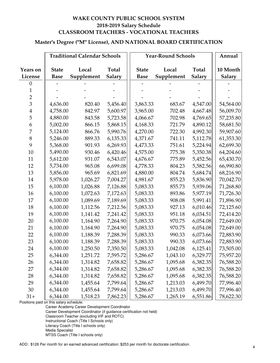#### **Master's Degree ("M" License), AND NATIONAL BOARD CERTIFICATION**

|                         |              | <b>Traditional Calendar Schools</b> |               |              | <b>Year-Round Schools</b> |               | Annual        |
|-------------------------|--------------|-------------------------------------|---------------|--------------|---------------------------|---------------|---------------|
| <b>Years on</b>         | <b>State</b> | Local                               | <b>Total</b>  | <b>State</b> | Local                     | Total         | 10 Month      |
| License                 | <b>Base</b>  | Supplement                          | <b>Salary</b> | <b>Base</b>  | Supplement                | <b>Salary</b> | <b>Salary</b> |
| $\boldsymbol{0}$        |              |                                     |               |              |                           |               |               |
| 1                       |              |                                     |               |              |                           |               |               |
| $\overline{2}$          |              |                                     |               |              |                           |               |               |
| 3                       | 4,636.00     | 820.40                              | 5,456.40      | 3,863.33     | 683.67                    | 4,547.00      | 54,564.00     |
| $\overline{\mathbf{4}}$ | 4,758.00     | 842.97                              | 5,600.97      | 3,965.00     | 702.48                    | 4,667.48      | 56,009.70     |
| 5                       | 4,880.00     | 843.58                              | 5,723.58      | 4,066.67     | 702.98                    | 4,769.65      | 57,235.80     |
| 6                       | 5,002.00     | 866.15                              | 5,868.15      | 4,168.33     | 721.79                    | 4,890.12      | 58,681.50     |
| 7                       | 5,124.00     | 866.76                              | 5,990.76      | 4,270.00     | 722.30                    | 4,992.30      | 59,907.60     |
| 8                       | 5,246.00     | 889.33                              | 6,135.33      | 4,371.67     | 741.11                    | 5,112.78      | 61,353.30     |
| 9                       | 5,368.00     | 901.93                              | 6,269.93      | 4,473.33     | 751.61                    | 5,224.94      | 62,699.30     |
| 10                      | 5,490.00     | 930.46                              | 6,420.46      | 4,575.00     | 775.38                    | 5,350.38      | 64,204.60     |
| 11                      | 5,612.00     | 931.07                              | 6,543.07      | 4,676.67     | 775.89                    | 5,452.56      | 65,430.70     |
| 12                      | 5,734.00     | 965.08                              | 6,699.08      | 4,778.33     | 804.23                    | 5,582.56      | 66,990.80     |
| 13                      | 5,856.00     | 965.69                              | 6,821.69      | 4,880.00     | 804.74                    | 5,684.74      | 68,216.90     |
| 14                      | 5,978.00     | 1,026.27                            | 7,004.27      | 4,981.67     | 855.23                    | 5,836.90      | 70,042.70     |
| 15                      | 6,100.00     | 1,026.88                            | 7,126.88      | 5,083.33     | 855.73                    | 5,939.06      | 71,268.80     |
| 16                      | 6,100.00     | 1,072.63                            | 7,172.63      | 5,083.33     | 893.86                    | 5,977.19      | 71,726.30     |
| 17                      | 6,100.00     | 1,089.69                            | 7,189.69      | 5,083.33     | 908.08                    | 5,991.41      | 71,896.90     |
| 18                      | 6,100.00     | 1,112.56                            | 7,212.56      | 5,083.33     | 927.13                    | 6,010.46      | 72,125.60     |
| 19                      | 6,100.00     | 1,141.42                            | 7,241.42      | 5,083.33     | 951.18                    | 6,034.51      | 72,414.20     |
| 20                      | 6,100.00     | 1,164.90                            | 7,264.90      | 5,083.33     | 970.75                    | 6,054.08      | 72,649.00     |
| 21                      | 6,100.00     | 1,164.90                            | 7,264.90      | 5,083.33     | 970.75                    | 6,054.08      | 72,649.00     |
| 22                      | 6,100.00     | 1,188.39                            | 7,288.39      | 5,083.33     | 990.33                    | 6,073.66      | 72,883.90     |
| 23                      | 6,100.00     | 1,188.39                            | 7,288.39      | 5,083.33     | 990.33                    | 6,073.66      | 72,883.90     |
| 24                      | 6,100.00     | 1,250.50                            | 7,350.50      | 5,083.33     | 1,042.08                  | 6,125.41      | 73,505.00     |
| 25                      | 6,344.00     | 1,251.72                            | 7,595.72      | 5,286.67     | 1,043.10                  | 6,329.77      | 75,957.20     |
| 26                      | 6,344.00     | 1,314.82                            | 7,658.82      | 5,286.67     | 1,095.68                  | 6,382.35      | 76,588.20     |
| 27                      | 6,344.00     | 1,314.82                            | 7,658.82      | 5,286.67     | 1,095.68                  | 6,382.35      | 76,588.20     |
| 28                      | 6,344.00     | 1,314.82                            | 7,658.82      | 5,286.67     | 1,095.68                  | 6,382.35      | 76,588.20     |
| 29                      | 6,344.00     | 1,455.64                            | 7,799.64      | 5,286.67     | 1,213.03                  | 6,499.70      | 77,996.40     |
| 30                      | 6,344.00     | 1,455.64                            | 7,799.64      | 5,286.67     | 1,213.03                  | 6,499.70      | 77,996.40     |
| $31+$                   | 6,344.00     | 1,518.23                            | 7,862.23      | 5,286.67     | 1,265.19                  | 6,551.86      | 78,622.30     |

Positions paid on this salary schedule:

Career Academy Career Development Coordinator Career Development Coordinator (if guidance certification not held) Classroom Teacher (excluding VIF and ROTC) Instructional Coach (Title I Schools only) Literacy Coach (Title I schools only)

Media Specialist

MTSS Coach (Title I schools only)

ADD: \$126 Per month for an earned advanced certification; \$253 per month for doctorate certification. <sup>4</sup>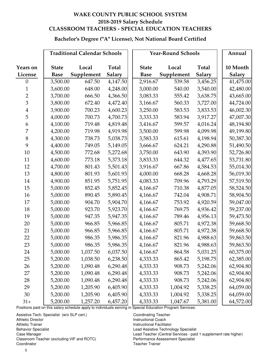# **Bachelor's Degree ("A" License), Not National Board Certified**

|                  |              | <b>Traditional Calendar Schools</b> |               |              | <b>Year-Round Schools</b> |               | Annual    |
|------------------|--------------|-------------------------------------|---------------|--------------|---------------------------|---------------|-----------|
|                  |              |                                     |               |              |                           |               |           |
| Years on         | <b>State</b> | Local                               | <b>Total</b>  | <b>State</b> | Local                     | <b>Total</b>  | 10 Month  |
| License          | <b>Base</b>  | Supplement                          | <b>Salary</b> | <b>Base</b>  | Supplement                | <b>Salary</b> | Salary    |
| $\theta$         | 3,500.00     | 647.50                              | 4,147.50      | 2,916.67     | 539.58                    | 3,456.25      | 41,475.00 |
| $\mathbf{1}$     | 3,600.00     | 648.00                              | 4,248.00      | 3,000.00     | 540.00                    | 3,540.00      | 42,480.00 |
| $\overline{2}$   | 3,700.00     | 666.50                              | 4,366.50      | 3,083.33     | 555.42                    | 3,638.75      | 43,665.00 |
| $\overline{3}$   | 3,800.00     | 672.40                              | 4,472.40      | 3,166.67     | 560.33                    | 3,727.00      | 44,724.00 |
| $\overline{4}$   | 3,900.00     | 700.23                              | 4,600.23      | 3,250.00     | 583.53                    | 3,833.53      | 46,002.30 |
| 5                | 4,000.00     | 700.73                              | 4,700.73      | 3,333.33     | 583.94                    | 3,917.27      | 47,007.30 |
| $\boldsymbol{6}$ | 4,100.00     | 719.48                              | 4,819.48      | 3,416.67     | 599.57                    | 4,016.24      | 48,194.80 |
| 7                | 4,200.00     | 719.98                              | 4,919.98      | 3,500.00     | 599.98                    | 4,099.98      | 49,199.80 |
| $8\,$            | 4,300.00     | 738.73                              | 5,038.73      | 3,583.33     | 615.61                    | 4,198.94      | 50,387.30 |
| 9                | 4,400.00     | 749.05                              | 5,149.05      | 3,666.67     | 624.21                    | 4,290.88      | 51,490.50 |
| 10               | 4,500.00     | 772.68                              | 5,272.68      | 3,750.00     | 643.90                    | 4,393.90      | 52,726.80 |
| 11               | 4,600.00     | 773.18                              | 5,373.18      | 3,833.33     | 644.32                    | 4,477.65      | 53,731.80 |
| 12               | 4,700.00     | 801.43                              | 5,501.43      | 3,916.67     | 667.86                    | 4,584.53      | 55,014.30 |
| 13               | 4,800.00     | 801.93                              | 5,601.93      | 4,000.00     | 668.28                    | 4,668.28      | 56,019.30 |
| 14               | 4,900.00     | 851.95                              | 5,751.95      | 4,083.33     | 709.96                    | 4,793.29      | 57,519.50 |
| 15               | 5,000.00     | 852.45                              | 5,852.45      | 4,166.67     | 710.38                    | 4,877.05      | 58,524.50 |
| 16               | 5,000.00     | 890.45                              | 5,890.45      | 4,166.67     | 742.04                    | 4,908.71      | 58,904.50 |
| 17               | 5,000.00     | 904.70                              | 5,904.70      | 4,166.67     | 753.92                    | 4,920.59      | 59,047.00 |
| 18               | 5,000.00     | 923.70                              | 5,923.70      | 4,166.67     | 769.75                    | 4,936.42      | 59,237.00 |
| 19               | 5,000.00     | 947.35                              | 5,947.35      | 4,166.67     | 789.46                    | 4,956.13      | 59,473.50 |
| 20               | 5,000.00     | 966.85                              | 5,966.85      | 4,166.67     | 805.71                    | 4,972.38      | 59,668.50 |
| 21               | 5,000.00     | 966.85                              | 5,966.85      | 4,166.67     | 805.71                    | 4,972.38      | 59,668.50 |
| 22               | 5,000.00     | 986.35                              | 5,986.35      | 4,166.67     | 821.96                    | 4,988.63      | 59,863.50 |
| 23               | 5,000.00     | 986.35                              | 5,986.35      | 4,166.67     | 821.96                    | 4,988.63      | 59,863.50 |
| 24               | 5,000.00     | 1,037.50                            | 6,037.50      | 4,166.67     | 864.58                    | 5,031.25      | 60,375.00 |
| 25               | 5,200.00     | 1,038.50                            | 6,238.50      | 4,333.33     | 865.42                    | 5,198.75      | 62,385.00 |
| 26               | 5,200.00     | 1,090.48                            | 6,290.48      | 4,333.33     | 908.73                    | 5,242.06      | 62,904.80 |
| 27               | 5,200.00     | 1,090.48                            | 6,290.48      | 4,333.33     | 908.73                    | 5,242.06      | 62,904.80 |
| 28               | 5,200.00     | 1,090.48                            | 6,290.48      | 4,333.33     | 908.73                    | 5,242.06      | 62,904.80 |
| 29               | 5,200.00     | 1,205.90                            | 6,405.90      | 4,333.33     | 1,004.92                  | 5,338.25      | 64,059.00 |
| 30               | 5,200.00     | 1,205.90                            | 6,405.90      | 4,333.33     | 1,004.92                  | 5,338.25      | 64,059.00 |
| $31+$            | 5,200.00     | 1,257.20                            | 6,457.20      | 4,333.33     | 1,047.67                  | 5,381.00      | 64,572.00 |

Positions paid on this salary schedule apply to individuals serving in Special Education Program Services:

Assistive Tech. Specialist (w/o SLP cert.) Coordinating Teacher Athletic Director **Instructional Coach** Athletic Trainer **Instructional Facilitator Instructional Facilitator** Behavior Specialist Lead Assistive Technology Specialist Classroom Teacher (excluding VIF and ROTC) Performance Assessment Specialist Coordinator Teacher Trainer

Case Manager Lead Teacher (Central Services - paid 1 supplement rate higher)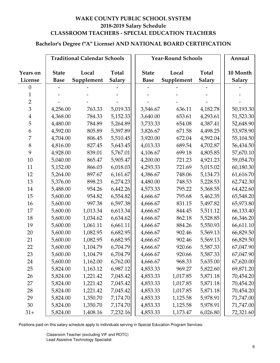# **Bachelor's Degree ("A" License) AND NATIONAL BOARD CERTIFICATION**

|                 |              | <b>Traditional Calendar Schools</b> |               |              | <b>Year-Round Schools</b> |               | Annual        |
|-----------------|--------------|-------------------------------------|---------------|--------------|---------------------------|---------------|---------------|
|                 |              |                                     |               |              |                           |               |               |
| <b>Years on</b> | <b>State</b> | Local                               | Total         | <b>State</b> | Local                     | <b>Total</b>  | 10 Month      |
| License         | <b>Base</b>  | Supplement                          | <b>Salary</b> | <b>Base</b>  | Supplement                | <b>Salary</b> | <b>Salary</b> |
| $\theta$        |              |                                     |               |              |                           |               |               |
| 1               |              |                                     |               |              |                           |               |               |
| $\overline{2}$  |              |                                     |               |              |                           |               |               |
| $\overline{3}$  | 4,256.00     | 763.33                              | 5,019.33      | 3,546.67     | 636.11                    | 4,182.78      | 50,193.30     |
| $\overline{4}$  | 4,368.00     | 784.33                              | 5,152.33      | 3,640.00     | 653.61                    | 4,293.61      | 51,523.30     |
| 5               | 4,480.00     | 784.89                              | 5,264.89      | 3,733.33     | 654.08                    | 4,387.41      | 52,648.90     |
| 6               | 4,592.00     | 805.89                              | 5,397.89      | 3,826.67     | 671.58                    | 4,498.25      | 53,978.90     |
| 7               | 4,704.00     | 806.45                              | 5,510.45      | 3,920.00     | 672.04                    | 4,592.04      | 55,104.50     |
| $8\,$           | 4,816.00     | 827.45                              | 5,643.45      | 4,013.33     | 689.54                    | 4,702.87      | 56,434.50     |
| 9               | 4,928.00     | 839.01                              | 5,767.01      | 4,106.67     | 699.18                    | 4,805.85      | 57,670.10     |
| 10              | 5,040.00     | 865.47                              | 5,905.47      | 4,200.00     | 721.23                    | 4,921.23      | 59,054.70     |
| 11              | 5,152.00     | 866.03                              | 6,018.03      | 4,293.33     | 721.69                    | 5,015.02      | 60,180.30     |
| 12              | 5,264.00     | 897.67                              | 6,161.67      | 4,386.67     | 748.06                    | 5,134.73      | 61,616.70     |
| 13              | 5,376.00     | 898.23                              | 6,274.23      | 4,480.00     | 748.53                    | 5,228.53      | 62,742.30     |
| 14              | 5,488.00     | 954.26                              | 6,442.26      | 4,573.33     | 795.22                    | 5,368.55      | 64,422.60     |
| 15              | 5,600.00     | 954.82                              | 6,554.82      | 4,666.67     | 795.68                    | 5,462.35      | 65,548.20     |
| 16              | 5,600.00     | 997.38                              | 6,597.38      | 4,666.67     | 831.15                    | 5,497.82      | 65,973.80     |
| 17              | 5,600.00     | 1,013.34                            | 6,613.34      | 4,666.67     | 844.45                    | 5,511.12      | 66,133.40     |
| 18              | 5,600.00     | 1,034.62                            | 6,634.62      | 4,666.67     | 862.18                    | 5,528.85      | 66,346.20     |
| 19              | 5,600.00     | 1,061.11                            | 6,661.11      | 4,666.67     | 884.26                    | 5,550.93      | 66,611.10     |
| 20              | 5,600.00     | 1,082.95                            | 6,682.95      | 4,666.67     | 902.46                    | 5,569.13      | 66,829.50     |
| 21              | 5,600.00     | 1,082.95                            | 6,682.95      | 4,666.67     | 902.46                    | 5,569.13      | 66,829.50     |
| 22              | 5,600.00     | 1,104.79                            | 6,704.79      | 4,666.67     | 920.66                    | 5,587.33      | 67,047.90     |
| 23              | 5,600.00     | 1,104.79                            | 6,704.79      | 4,666.67     | 920.66                    | 5,587.33      | 67,047.90     |
| 24              | 5,600.00     | 1,162.00                            | 6,762.00      | 4,666.67     | 968.33                    | 5,635.00      | 67,620.00     |
| 25              | 5,824.00     | 1,163.12                            | 6,987.12      | 4,853.33     | 969.27                    | 5,822.60      | 69,871.20     |
| 26              | 5,824.00     | 1,221.42                            | 7,045.42      | 4,853.33     | 1,017.85                  | 5,871.18      | 70,454.20     |
| 27              | 5,824.00     | 1,221.42                            | 7,045.42      | 4,853.33     | 1,017.85                  | 5,871.18      | 70,454.20     |
| 28              | 5,824.00     | 1,221.42                            | 7,045.42      | 4,853.33     | 1,017.85                  | 5,871.18      | 70,454.20     |
| 29              | 5,824.00     | 1,350.70                            | 7,174.70      | 4,853.33     | 1,125.58                  | 5,978.91      | 71,747.00     |
| 30              | 5,824.00     | 1,350.70                            | 7,174.70      | 4,853.33     | 1,125.58                  | 5,978.91      | 71,747.00     |
| $31+$           | 5,824.00     | 1,408.16                            | 7,232.16      | 4,853.33     | 1,173.47                  | 6,026.80      | 72,321.60     |

Positions paid on this salary schedule apply to individuals serving in Special Education Program Services: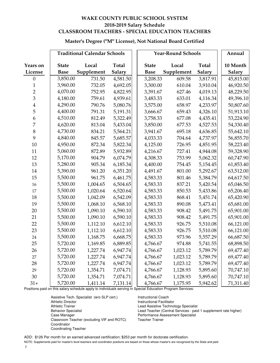#### **Master's Degree ("M" License), Not National Board Certified**

|                | <b>Traditional Calendar Schools</b> |            |              | <b>Year-Round Schools</b> |            | Annual        |               |
|----------------|-------------------------------------|------------|--------------|---------------------------|------------|---------------|---------------|
| Years on       | <b>State</b>                        | Local      | <b>Total</b> | <b>State</b>              | Local      | <b>Total</b>  | 10 Month      |
| License        | <b>Base</b>                         | Supplement | Salary       | <b>Base</b>               | Supplement | <b>Salary</b> | <b>Salary</b> |
| $\mathbf{0}$   | 3,850.00                            | 731.50     | 4,581.50     | 3,208.33                  | 609.58     | 3,817.91      | 45,815.00     |
| $\mathbf{1}$   | 3,960.00                            | 732.05     | 4,692.05     | 3,300.00                  | 610.04     | 3,910.04      | 46,920.50     |
| $\overline{2}$ | 4,070.00                            | 752.95     | 4,822.95     | 3,391.67                  | 627.46     | 4,019.13      | 48,229.50     |
| $\overline{3}$ | 4,180.00                            | 759.61     | 4,939.61     | 3,483.33                  | 633.01     | 4,116.34      | 49,396.10     |
| $\overline{4}$ | 4,290.00                            | 790.76     | 5,080.76     | 3,575.00                  | 658.97     | 4,233.97      | 50,807.60     |
| 5              | 4,400.00                            | 791.31     | 5,191.31     | 3,666.67                  | 659.43     | 4,326.10      | 51,913.10     |
| 6              | 4,510.00                            | 812.49     | 5,322.49     | 3,758.33                  | 677.08     | 4,435.41      | 53,224.90     |
| $\overline{7}$ | 4,620.00                            | 813.04     | 5,433.04     | 3,850.00                  | 677.53     | 4,527.53      | 54,330.40     |
| 8              | 4,730.00                            | 834.21     | 5,564.21     | 3,941.67                  | 695.18     | 4,636.85      | 55,642.10     |
| 9              | 4,840.00                            | 845.57     | 5,685.57     | 4,033.33                  | 704.64     | 4,737.97      | 56,855.70     |
| 10             | 4,950.00                            | 872.34     | 5,822.34     | 4,125.00                  | 726.95     | 4,851.95      | 58,223.40     |
| 11             | 5,060.00                            | 872.89     | 5,932.89     | 4,216.67                  | 727.41     | 4,944.08      | 59,328.90     |
| 12             | 5,170.00                            | 904.79     | 6,074.79     | 4,308.33                  | 753.99     | 5,062.32      | 60,747.90     |
| 13             | 5,280.00                            | 905.34     | 6,185.34     | 4,400.00                  | 754.45     | 5,154.45      | 61,853.40     |
| 14             | 5,390.00                            | 961.20     | 6,351.20     | 4,491.67                  | 801.00     | 5,292.67      | 63,512.00     |
| 15             | 5,500.00                            | 961.75     | 6,461.75     | 4,583.33                  | 801.46     | 5,384.79      | 64,617.50     |
| 16             | 5,500.00                            | 1,004.65   | 6,504.65     | 4,583.33                  | 837.21     | 5,420.54      | 65,046.50     |
| 17             | 5,500.00                            | 1,020.64   | 6,520.64     | 4,583.33                  | 850.53     | 5,433.86      | 65,206.40     |
| 18             | 5,500.00                            | 1,042.09   | 6,542.09     | 4,583.33                  | 868.41     | 5,451.74      | 65,420.90     |
| 19             | 5,500.00                            | 1,068.10   | 6,568.10     | 4,583.33                  | 890.08     | 5,473.41      | 65,681.00     |
| 20             | 5,500.00                            | 1,090.10   | 6,590.10     | 4,583.33                  | 908.42     | 5,491.75      | 65,901.00     |
| 21             | 5,500.00                            | 1,090.10   | 6,590.10     | 4,583.33                  | 908.42     | 5,491.75      | 65,901.00     |
| 22             | 5,500.00                            | 1,112.10   | 6,612.10     | 4,583.33                  | 926.75     | 5,510.08      | 66,121.00     |
| 23             | 5,500.00                            | 1,112.10   | 6,612.10     | 4,583.33                  | 926.75     | 5,510.08      | 66,121.00     |
| 24             | 5,500.00                            | 1,168.75   | 6,668.75     | 4,583.33                  | 973.96     | 5,557.29      | 66,687.50     |
| 25             | 5,720.00                            | 1,169.85   | 6,889.85     | 4,766.67                  | 974.88     | 5,741.55      | 68,898.50     |
| 26             | 5,720.00                            | 1,227.74   | 6,947.74     | 4,766.67                  | 1,023.12   | 5,789.79      | 69,477.40     |
| 27             | 5,720.00                            | 1,227.74   | 6,947.74     | 4,766.67                  | 1,023.12   | 5,789.79      | 69,477.40     |
| 28             | 5,720.00                            | 1,227.74   | 6,947.74     | 4,766.67                  | 1,023.12   | 5,789.79      | 69,477.40     |
| 29             | 5,720.00                            | 1,354.71   | 7,074.71     | 4,766.67                  | 1,128.93   | 5,895.60      | 70,747.10     |
| 30             | 5,720.00                            | 1,354.71   | 7,074.71     | 4,766.67                  | 1,128.93   | 5,895.60      | 70,747.10     |
| $31+$          | 5,720.00                            | 1,411.14   | 7,131.14     | 4,766.67                  | 1,175.95   | 5,942.62      | 71,311.40     |

Positions paid on this salary schedule apply to individuals serving in Special Education Program Services:

Assistive Tech. Specialist (w/o SLP cert.) linstructional Coach<br>Athletic Director (Instructional Facilita Athletic Trainer **Athletic Trainer** Lead Assistive Technology Specialist Case Manager **Performance Assessment Specialist**<br>Classroom Teacher (excluding VIF and ROTC) Teacher Trainer Classroom Teacher (excluding VIF and ROTC) Coordinator Coordinating Teacher

**Instructional Facilitator** Behavior Specialist Lead Teacher (Central Services - paid 1 supplement rate higher)

ADD: \$126 Per month for an earned advanced certification; \$253 per month for doctorate certification.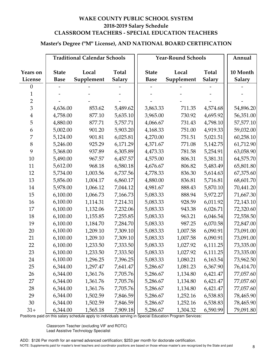# **Master's Degree ("M" License), AND NATIONAL BOARD CERTIFICATION**

|                 |              | <b>Traditional Calendar Schools</b> |               |              | <b>Year-Round Schools</b> |               | Annual        |
|-----------------|--------------|-------------------------------------|---------------|--------------|---------------------------|---------------|---------------|
|                 |              |                                     |               |              |                           |               |               |
| <b>Years on</b> | <b>State</b> | Local                               | <b>Total</b>  | <b>State</b> | Local                     | <b>Total</b>  | 10 Month      |
| License         | <b>Base</b>  | Supplement                          | <b>Salary</b> | <b>Base</b>  | Supplement                | <b>Salary</b> | <b>Salary</b> |
| 0               |              |                                     |               |              |                           |               |               |
| $\mathbf{1}$    |              |                                     |               |              |                           |               |               |
| $\overline{2}$  |              |                                     |               |              |                           |               |               |
| $\overline{3}$  | 4,636.00     | 853.62                              | 5,489.62      | 3,863.33     | 711.35                    | 4,574.68      | 54,896.20     |
| $\overline{4}$  | 4,758.00     | 877.10                              | 5,635.10      | 3,965.00     | 730.92                    | 4,695.92      | 56,351.00     |
| 5               | 4,880.00     | 877.71                              | 5,757.71      | 4,066.67     | 731.43                    | 4,798.10      | 57,577.10     |
| 6               | 5,002.00     | 901.20                              | 5,903.20      | 4,168.33     | 751.00                    | 4,919.33      | 59,032.00     |
| 7               | 5,124.00     | 901.81                              | 6,025.81      | 4,270.00     | 751.51                    | 5,021.51      | 60,258.10     |
| $8\,$           | 5,246.00     | 925.29                              | 6,171.29      | 4,371.67     | 771.08                    | 5,142.75      | 61,712.90     |
| 9               | 5,368.00     | 937.89                              | 6,305.89      | 4,473.33     | 781.58                    | 5,254.91      | 63,058.90     |
| 10              | 5,490.00     | 967.57                              | 6,457.57      | 4,575.00     | 806.31                    | 5,381.31      | 64,575.70     |
| 11              | 5,612.00     | 968.18                              | 6,580.18      | 4,676.67     | 806.82                    | 5,483.49      | 65,801.80     |
| 12              | 5,734.00     | 1,003.56                            | 6,737.56      | 4,778.33     | 836.30                    | 5,614.63      | 67,375.60     |
| 13              | 5,856.00     | 1,004.17                            | 6,860.17      | 4,880.00     | 836.81                    | 5,716.81      | 68,601.70     |
| 14              | 5,978.00     | 1,066.12                            | 7,044.12      | 4,981.67     | 888.43                    | 5,870.10      | 70,441.20     |
| 15              | 6,100.00     | 1,066.73                            | 7,166.73      | 5,083.33     | 888.94                    | 5,972.27      | 71,667.30     |
| 16              | 6,100.00     | 1,114.31                            | 7,214.31      | 5,083.33     | 928.59                    | 6,011.92      | 72,143.10     |
| 17              | 6,100.00     | 1,132.06                            | 7,232.06      | 5,083.33     | 943.38                    | 6,026.71      | 72,320.60     |
| 18              | 6,100.00     | 1,155.85                            | 7,255.85      | 5,083.33     | 963.21                    | 6,046.54      | 72,558.50     |
| 19              | 6,100.00     | 1,184.70                            | 7,284.70      | 5,083.33     | 987.25                    | 6,070.58      | 72,847.00     |
| 20              | 6,100.00     | 1,209.10                            | 7,309.10      | 5,083.33     | 1,007.58                  | 6,090.91      | 73,091.00     |
| 21              | 6,100.00     | 1,209.10                            | 7,309.10      | 5,083.33     | 1,007.58                  | 6,090.91      | 73,091.00     |
| 22              | 6,100.00     | 1,233.50                            | 7,333.50      | 5,083.33     | 1,027.92                  | 6,111.25      | 73,335.00     |
| 23              | 6,100.00     | 1,233.50                            | 7,333.50      | 5,083.33     | 1,027.92                  | 6,111.25      | 73,335.00     |
| 24              | 6,100.00     | 1,296.25                            | 7,396.25      | 5,083.33     | 1,080.21                  | 6,163.54      | 73,962.50     |
| 25              | 6,344.00     | 1,297.47                            | 7,641.47      | 5,286.67     | 1,081.23                  | 6,367.90      | 76,414.70     |
| 26              | 6,344.00     | 1,361.76                            | 7,705.76      | 5,286.67     | 1,134.80                  | 6,421.47      | 77,057.60     |
| 27              | 6,344.00     | 1,361.76                            | 7,705.76      | 5,286.67     | 1,134.80                  | 6,421.47      | 77,057.60     |
| 28              | 6,344.00     | 1,361.76                            | 7,705.76      | 5,286.67     | 1,134.80                  | 6,421.47      | 77,057.60     |
| 29              | 6,344.00     | 1,502.59                            | 7,846.59      | 5,286.67     | 1,252.16                  | 6,538.83      | 78,465.90     |
| 30              | 6,344.00     | 1,502.59                            | 7,846.59      | 5,286.67     | 1,252.16                  | 6,538.83      | 78,465.90     |
| $31+$           | 6,344.00     | 1,565.18                            | 7,909.18      | 5,286.67     | 1,304.32                  | 6,590.99      | 79,091.80     |

Positions paid on this salary schedule apply to individuals serving in Special Education Program Services:

Classroom Teacher (excluding VIF and ROTC) Lead Assistive Technology Specialist

ADD: \$126 Per month for an earned advanced certification; \$253 per month for doctorate certification. NOTE: Supplements paid for master's level teachers and coordinator positions are based on those whose master's are recognized by the State and paid 8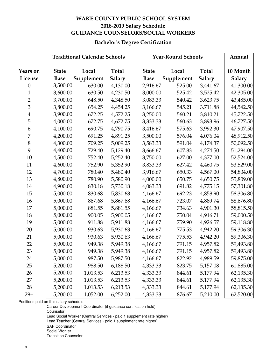# **WAKE COUNTY PUBLIC SCHOOL SYSTEM 2018-2019 Salary Schedule GUIDANCE COUNSELORS/SOCIAL WORKERS**

#### **Bachelor's Degree Certification**

|                |              | <b>Traditional Calendar Schools</b> |               |              | <b>Year-Round Schools</b> |               | Annual    |
|----------------|--------------|-------------------------------------|---------------|--------------|---------------------------|---------------|-----------|
|                |              |                                     |               |              |                           |               |           |
| Years on       | <b>State</b> | Local                               | <b>Total</b>  | <b>State</b> | Local                     | Total         | 10 Month  |
| License        | <b>Base</b>  | Supplement                          | <b>Salary</b> | <b>Base</b>  | Supplement                | <b>Salary</b> | Salary    |
| $\theta$       | 3,500.00     | 630.00                              | 4,130.00      | 2,916.67     | 525.00                    | 3,441.67      | 41,300.00 |
| $\mathbf{1}$   | 3,600.00     | 630.50                              | 4,230.50      | 3,000.00     | 525.42                    | 3,525.42      | 42,305.00 |
| $\sqrt{2}$     | 3,700.00     | 648.50                              | 4,348.50      | 3,083.33     | 540.42                    | 3,623.75      | 43,485.00 |
| 3              | 3,800.00     | 654.25                              | 4,454.25      | 3,166.67     | 545.21                    | 3,711.88      | 44,542.50 |
| $\overline{4}$ | 3,900.00     | 672.25                              | 4,572.25      | 3,250.00     | 560.21                    | 3,810.21      | 45,722.50 |
| 5              | 4,000.00     | 672.75                              | 4,672.75      | 3,333.33     | 560.63                    | 3,893.96      | 46,727.50 |
| 6              | 4,100.00     | 690.75                              | 4,790.75      | 3,416.67     | 575.63                    | 3,992.30      | 47,907.50 |
| 7              | 4,200.00     | 691.25                              | 4,891.25      | 3,500.00     | 576.04                    | 4,076.04      | 48,912.50 |
| $\,8\,$        | 4,300.00     | 709.25                              | 5,009.25      | 3,583.33     | 591.04                    | 4,174.37      | 50,092.50 |
| 9              | 4,400.00     | 729.40                              | 5,129.40      | 3,666.67     | 607.83                    | 4,274.50      | 51,294.00 |
| 10             | 4,500.00     | 752.40                              | 5,252.40      | 3,750.00     | 627.00                    | 4,377.00      | 52,524.00 |
| 11             | 4,600.00     | 752.90                              | 5,352.90      | 3,833.33     | 627.42                    | 4,460.75      | 53,529.00 |
| 12             | 4,700.00     | 780.40                              | 5,480.40      | 3,916.67     | 650.33                    | 4,567.00      | 54,804.00 |
| 13             | 4,800.00     | 780.90                              | 5,580.90      | 4,000.00     | 650.75                    | 4,650.75      | 55,809.00 |
| 14             | 4,900.00     | 830.18                              | 5,730.18      | 4,083.33     | 691.82                    | 4,775.15      | 57,301.80 |
| 15             | 5,000.00     | 830.68                              | 5,830.68      | 4,166.67     | 692.23                    | 4,858.90      | 58,306.80 |
| 16             | 5,000.00     | 867.68                              | 5,867.68      | 4,166.67     | 723.07                    | 4,889.74      | 58,676.80 |
| 17             | 5,000.00     | 881.55                              | 5,881.55      | 4,166.67     | 734.63                    | 4,901.30      | 58,815.50 |
| 18             | 5,000.00     | 900.05                              | 5,900.05      | 4,166.67     | 750.04                    | 4,916.71      | 59,000.50 |
| 19             | 5,000.00     | 911.88                              | 5,911.88      | 4,166.67     | 759.90                    | 4,926.57      | 59,118.80 |
| 20             | 5,000.00     | 930.63                              | 5,930.63      | 4,166.67     | 775.53                    | 4,942.20      | 59,306.30 |
| 21             | 5,000.00     | 930.63                              | 5,930.63      | 4,166.67     | 775.53                    | 4,942.20      | 59,306.30 |
| 22             | 5,000.00     | 949.38                              | 5,949.38      | 4,166.67     | 791.15                    | 4,957.82      | 59,493.80 |
| 23             | 5,000.00     | 949.38                              | 5,949.38      | 4,166.67     | 791.15                    | 4,957.82      | 59,493.80 |
| 24             | 5,000.00     | 987.50                              | 5,987.50      | 4,166.67     | 822.92                    | 4,989.59      | 59,875.00 |
| 25             | 5,200.00     | 988.50                              | 6,188.50      | 4,333.33     | 823.75                    | 5,157.08      | 61,885.00 |
| 26             | 5,200.00     | 1,013.53                            | 6,213.53      | 4,333.33     | 844.61                    | 5,177.94      | 62,135.30 |
| 27             | 5,200.00     | 1,013.53                            | 6,213.53      | 4,333.33     | 844.61                    | 5,177.94      | 62,135.30 |
| 28             | 5,200.00     | 1,013.53                            | 6,213.53      | 4,333.33     | 844.61                    | 5,177.94      | 62,135.30 |
| $29+$          | 5,200.00     | 1,052.00                            | 6,252.00      | 4,333.33     | 876.67                    | 5,210.00      | 62,520.00 |

Positions paid on this salary schedule:

Career Development Coordinator (if guidance certification held) Counselor Lead Social Worker (Central Services - paid 1 supplement rate higher) Lead Teacher (Central Services - paid 1 supplement rate higher) SAP Coordinator Social Worker Transition Counselor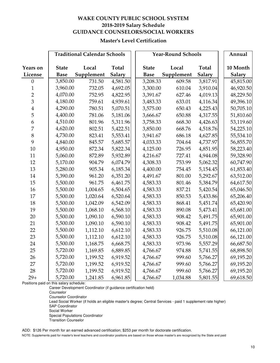#### **WAKE COUNTY PUBLIC SCHOOL SYSTEM 2018-2019 Salary Schedule GUIDANCE COUNSELORS/SOCIAL WORKERS**

#### **Master's Level Certification**

|                | <b>Traditional Calendar Schools</b> |            |              |              | <b>Year-Round Schools</b> |              | Annual    |
|----------------|-------------------------------------|------------|--------------|--------------|---------------------------|--------------|-----------|
| Years on       | <b>State</b>                        | Local      | <b>Total</b> | <b>State</b> | Local                     | <b>Total</b> | 10 Month  |
| License        | <b>Base</b>                         | Supplement | Salary       | <b>Base</b>  | Supplement                | Salary       | Salary    |
| $\mathbf{0}$   | 3,850.00                            | 731.50     | 4,581.50     | 3,208.33     | 609.58                    | 3,817.91     | 45,815.00 |
| $\mathbf{1}$   | 3,960.00                            | 732.05     | 4,692.05     | 3,300.00     | 610.04                    | 3,910.04     | 46,920.50 |
| $\overline{2}$ | 4,070.00                            | 752.95     | 4,822.95     | 3,391.67     | 627.46                    | 4,019.13     | 48,229.50 |
| $\overline{3}$ | 4,180.00                            | 759.61     | 4,939.61     | 3,483.33     | 633.01                    | 4,116.34     | 49,396.10 |
| $\overline{4}$ | 4,290.00                            | 780.51     | 5,070.51     | 3,575.00     | 650.43                    | 4,225.43     | 50,705.10 |
| 5              | 4,400.00                            | 781.06     | 5,181.06     | 3,666.67     | 650.88                    | 4,317.55     | 51,810.60 |
| 6              | 4,510.00                            | 801.96     | 5,311.96     | 3,758.33     | 668.30                    | 4,426.63     | 53,119.60 |
| 7              | 4,620.00                            | 802.51     | 5,422.51     | 3,850.00     | 668.76                    | 4,518.76     | 54,225.10 |
| 8              | 4,730.00                            | 823.41     | 5,553.41     | 3,941.67     | 686.18                    | 4,627.85     | 55,534.10 |
| 9              | 4,840.00                            | 845.57     | 5,685.57     | 4,033.33     | 704.64                    | 4,737.97     | 56,855.70 |
| 10             | 4,950.00                            | 872.34     | 5,822.34     | 4,125.00     | 726.95                    | 4,851.95     | 58,223.40 |
| 11             | 5,060.00                            | 872.89     | 5,932.89     | 4,216.67     | 727.41                    | 4,944.08     | 59,328.90 |
| 12             | 5,170.00                            | 904.79     | 6,074.79     | 4,308.33     | 753.99                    | 5,062.32     | 60,747.90 |
| 13             | 5,280.00                            | 905.34     | 6,185.34     | 4,400.00     | 754.45                    | 5,154.45     | 61,853.40 |
| 14             | 5,390.00                            | 961.20     | 6,351.20     | 4,491.67     | 801.00                    | 5,292.67     | 63,512.00 |
| 15             | 5,500.00                            | 961.75     | 6,461.75     | 4,583.33     | 801.46                    | 5,384.79     | 64,617.50 |
| 16             | 5,500.00                            | 1,004.65   | 6,504.65     | 4,583.33     | 837.21                    | 5,420.54     | 65,046.50 |
| 17             | 5,500.00                            | 1,020.64   | 6,520.64     | 4,583.33     | 850.53                    | 5,433.86     | 65,206.40 |
| 18             | 5,500.00                            | 1,042.09   | 6,542.09     | 4,583.33     | 868.41                    | 5,451.74     | 65,420.90 |
| 19             | 5,500.00                            | 1,068.10   | 6,568.10     | 4,583.33     | 890.08                    | 5,473.41     | 65,681.00 |
| 20             | 5,500.00                            | 1,090.10   | 6,590.10     | 4,583.33     | 908.42                    | 5,491.75     | 65,901.00 |
| 21             | 5,500.00                            | 1,090.10   | 6,590.10     | 4,583.33     | 908.42                    | 5,491.75     | 65,901.00 |
| 22             | 5,500.00                            | 1,112.10   | 6,612.10     | 4,583.33     | 926.75                    | 5,510.08     | 66,121.00 |
| 23             | 5,500.00                            | 1,112.10   | 6,612.10     | 4,583.33     | 926.75                    | 5,510.08     | 66,121.00 |
| 24             | 5,500.00                            | 1,168.75   | 6,668.75     | 4,583.33     | 973.96                    | 5,557.29     | 66,687.50 |
| 25             | 5,720.00                            | 1,169.85   | 6,889.85     | 4,766.67     | 974.88                    | 5,741.55     | 68,898.50 |
| 26             | 5,720.00                            | 1,199.52   | 6,919.52     | 4,766.67     | 999.60                    | 5,766.27     | 69,195.20 |
| 27             | 5,720.00                            | 1,199.52   | 6,919.52     | 4,766.67     | 999.60                    | 5,766.27     | 69,195.20 |
| 28             | 5,720.00                            | 1,199.52   | 6,919.52     | 4,766.67     | 999.60                    | 5,766.27     | 69,195.20 |
| $29+$          | 5,720.00                            | 1,241.85   | 6,961.85     | 4,766.67     | 1,034.88                  | 5,801.55     | 69,618.50 |

Positions paid on this salary schedule:

Career Development Coordinator (if guidance certification held)

Counselor

Counselor Coordinator

Lead Social Worker (if holds an eligible master's degree; Central Services - paid 1 supplement rate higher) SAP Coordinator

Social Worker

Special Populations Coordinator

Transition Counselor

ADD: \$126 Per month for an earned advanced certification; \$253 per month for doctorate certification.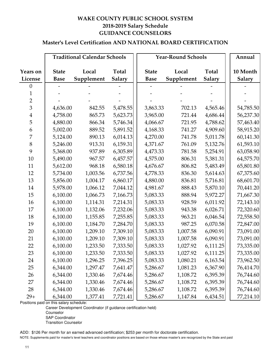# **WAKE COUNTY PUBLIC SCHOOL SYSTEM 2018-2019 Salary Schedule GUIDANCE COUNSELORS**

# **Master's Level Certification AND NATIONAL BOARD CERTIFICATION**

|                            |                             | <b>Traditional Calendar Schools</b> |                               | <b>Year-Round Schools</b>   |                     | Annual                 |                           |
|----------------------------|-----------------------------|-------------------------------------|-------------------------------|-----------------------------|---------------------|------------------------|---------------------------|
| <b>Years on</b><br>License | <b>State</b><br><b>Base</b> | Local<br>Supplement                 | <b>Total</b><br><b>Salary</b> | <b>State</b><br><b>Base</b> | Local<br>Supplement | Total<br><b>Salary</b> | 10 Month<br><b>Salary</b> |
| 0                          |                             |                                     |                               |                             |                     |                        |                           |
| 1                          |                             |                                     |                               |                             |                     |                        |                           |
| $\overline{2}$             |                             |                                     |                               |                             |                     |                        |                           |
| $\mathfrak{Z}$             | 4,636.00                    | 842.55                              | 5,478.55                      | 3,863.33                    | 702.13              | 4,565.46               | 54,785.50                 |
| $\overline{4}$             | 4,758.00                    | 865.73                              | 5,623.73                      | 3,965.00                    | 721.44              | 4,686.44               | 56,237.30                 |
| 5                          | 4,880.00                    | 866.34                              | 5,746.34                      | 4,066.67                    | 721.95              | 4,788.62               | 57,463.40                 |
| 6                          | 5,002.00                    | 889.52                              | 5,891.52                      | 4,168.33                    | 741.27              | 4,909.60               | 58,915.20                 |
| 7                          | 5,124.00                    | 890.13                              | 6,014.13                      | 4,270.00                    | 741.78              | 5,011.78               | 60,141.30                 |
| $8\,$                      | 5,246.00                    | 913.31                              | 6,159.31                      | 4,371.67                    | 761.09              | 5,132.76               | 61,593.10                 |
| 9                          | 5,368.00                    | 937.89                              | 6,305.89                      | 4,473.33                    | 781.58              | 5,254.91               | 63,058.90                 |
| 10                         | 5,490.00                    | 967.57                              | 6,457.57                      | 4,575.00                    | 806.31              | 5,381.31               | 64,575.70                 |
| 11                         | 5,612.00                    | 968.18                              | 6,580.18                      | 4,676.67                    | 806.82              | 5,483.49               | 65,801.80                 |
| 12                         | 5,734.00                    | 1,003.56                            | 6,737.56                      | 4,778.33                    | 836.30              | 5,614.63               | 67,375.60                 |
| 13                         | 5,856.00                    | 1,004.17                            | 6,860.17                      | 4,880.00                    | 836.81              | 5,716.81               | 68,601.70                 |
| 14                         | 5,978.00                    | 1,066.12                            | 7,044.12                      | 4,981.67                    | 888.43              | 5,870.10               | 70,441.20                 |
| 15                         | 6,100.00                    | 1,066.73                            | 7,166.73                      | 5,083.33                    | 888.94              | 5,972.27               | 71,667.30                 |
| 16                         | 6,100.00                    | 1,114.31                            | 7,214.31                      | 5,083.33                    | 928.59              | 6,011.92               | 72,143.10                 |
| 17                         | 6,100.00                    | 1,132.06                            | 7,232.06                      | 5,083.33                    | 943.38              | 6,026.71               | 72,320.60                 |
| 18                         | 6,100.00                    | 1,155.85                            | 7,255.85                      | 5,083.33                    | 963.21              | 6,046.54               | 72,558.50                 |
| 19                         | 6,100.00                    | 1,184.70                            | 7,284.70                      | 5,083.33                    | 987.25              | 6,070.58               | 72,847.00                 |
| 20                         | 6,100.00                    | 1,209.10                            | 7,309.10                      | 5,083.33                    | 1,007.58            | 6,090.91               | 73,091.00                 |
| 21                         | 6,100.00                    | 1,209.10                            | 7,309.10                      | 5,083.33                    | 1,007.58            | 6,090.91               | 73,091.00                 |
| 22                         | 6,100.00                    | 1,233.50                            | 7,333.50                      | 5,083.33                    | 1,027.92            | 6,111.25               | 73,335.00                 |
| 23                         | 6,100.00                    | 1,233.50                            | 7,333.50                      | 5,083.33                    | 1,027.92            | 6,111.25               | 73,335.00                 |
| 24                         | 6,100.00                    | 1,296.25                            | 7,396.25                      | 5,083.33                    | 1,080.21            | 6,163.54               | 73,962.50                 |
| 25                         | 6,344.00                    | 1,297.47                            | 7,641.47                      | 5,286.67                    | 1,081.23            | 6,367.90               | 76,414.70                 |
| 26                         | 6,344.00                    | 1,330.46                            | 7,674.46                      | 5,286.67                    | 1,108.72            | 6,395.39               | 76,744.60                 |
| 27                         | 6,344.00                    | 1,330.46                            | 7,674.46                      | 5,286.67                    | 1,108.72            | 6,395.39               | 76,744.60                 |
| 28                         | 6,344.00                    | 1,330.46                            | 7,674.46                      | 5,286.67                    | 1,108.72            | 6,395.39               | 76,744.60                 |
| $29+$                      | 6,344.00                    | 1,377.41                            | 7,721.41                      | 5,286.67                    | 1,147.84            | 6,434.51               | 77,214.10                 |

Positions paid on this salary schedule:

Career Development Coordinator (if guidance certification held)

Counselor

SAP Coordinator

Transition Counselor

ADD: \$126 Per month for an earned advanced certification; \$253 per month for doctorate certification.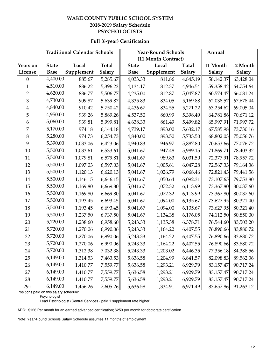#### **WAKE COUNTY PUBLIC SCHOOL SYSTEM 2018-2019 Salary Schedule PSYCHOLOGISTS**

|                  |              | <b>Traditional Calendar Schools</b> |              |              | <b>Year-Round Schools</b> | Annual   |               |               |
|------------------|--------------|-------------------------------------|--------------|--------------|---------------------------|----------|---------------|---------------|
|                  |              |                                     |              |              | (11 Month Contract)       |          |               |               |
| <b>Years on</b>  | <b>State</b> | Local                               | <b>Total</b> | <b>State</b> | Local                     | Total    | 11 Month      | 12 Month      |
| License          | <b>Base</b>  | Supplement                          | Salary       | <b>Base</b>  | Supplement                | Salary   | <b>Salary</b> | <b>Salary</b> |
| $\boldsymbol{0}$ | 4,400.00     | 885.67                              | 5,285.67     | 4,033.33     | 811.86                    | 4,845.19 | 58,142.37     | 63,428.04     |
| 1                | 4,510.00     | 886.22                              | 5,396.22     | 4,134.17     | 812.37                    | 4,946.54 | 59,358.42     | 64,754.64     |
| $\overline{2}$   | 4,620.00     | 886.77                              | 5,506.77     | 4,235.00     | 812.87                    | 5,047.87 | 60,574.47     | 66,081.24     |
| 3                | 4,730.00     | 909.87                              | 5,639.87     | 4,335.83     | 834.05                    | 5,169.88 | 62,038.57     | 67,678.44     |
| $\overline{4}$   | 4,840.00     | 910.42                              | 5,750.42     | 4,436.67     | 834.55                    | 5,271.22 | 63,254.62     | 69,005.04     |
| 5                | 4,950.00     | 939.26                              | 5,889.26     | 4,537.50     | 860.99                    | 5,398.49 | 64,781.86     | 70,671.12     |
| 6                | 5,060.00     | 939.81                              | 5,999.81     | 4,638.33     | 861.49                    | 5,499.82 | 65,997.91     | 71,997.72     |
| 7                | 5,170.00     | 974.18                              | 6,144.18     | 4,739.17     | 893.00                    | 5,632.17 | 67,585.98     | 73,730.16     |
| 8                | 5,280.00     | 974.73                              | 6,254.73     | 4,840.00     | 893.50                    | 5,733.50 | 68,802.03     | 75,056.76     |
| 9                | 5,390.00     | 1,033.06                            | 6,423.06     | 4,940.83     | 946.97                    | 5,887.80 | 70,653.66     | 77,076.72     |
| 10               | 5,500.00     | 1,033.61                            | 6,533.61     | 5,041.67     | 947.48                    | 5,989.15 | 71,869.71     | 78,403.32     |
| 11               | 5,500.00     | 1,079.81                            | 6,579.81     | 5,041.67     | 989.83                    | 6,031.50 | 72,377.91     | 78,957.72     |
| 12               | 5,500.00     | 1,097.03                            | 6,597.03     | 5,041.67     | 1,005.61                  | 6,047.28 | 72,567.33     | 79,164.36     |
| 13               | 5,500.00     | 1,120.13                            | 6,620.13     | 5,041.67     | 1,026.79                  | 6,068.46 | 72,821.43     | 79,441.56     |
| 14               | 5,500.00     | 1,146.15                            | 6,646.15     | 5,041.67     | 1,050.64                  | 6,092.31 | 73,107.65     | 79,753.80     |
| 15               | 5,500.00     | 1,169.80                            | 6,669.80     | 5,041.67     | 1,072.32                  | 6,113.99 | 73,367.80     | 80,037.60     |
| 16               | 5,500.00     | 1,169.80                            | 6,669.80     | 5,041.67     | 1,072.32                  | 6,113.99 | 73,367.80     | 80,037.60     |
| 17               | 5,500.00     | 1,193.45                            | 6,693.45     | 5,041.67     | 1,094.00                  | 6,135.67 | 73,627.95     | 80,321.40     |
| 18               | 5,500.00     | 1,193.45                            | 6,693.45     | 5,041.67     | 1,094.00                  | 6,135.67 | 73,627.95     | 80,321.40     |
| 19               | 5,500.00     | 1,237.50                            | 6,737.50     | 5,041.67     | 1,134.38                  | 6,176.05 | 74,112.50     | 80,850.00     |
| 20               | 5,720.00     | 1,238.60                            | 6,958.60     | 5,243.33     | 1,135.38                  | 6,378.71 | 76,544.60     | 83,503.20     |
| 21               | 5,720.00     | 1,270.06                            | 6,990.06     | 5,243.33     | 1,164.22                  | 6,407.55 | 76,890.66     | 83,880.72     |
| 22               | 5,720.00     | 1,270.06                            | 6,990.06     | 5,243.33     | 1,164.22                  | 6,407.55 | 76,890.66     | 83,880.72     |
| 23               | 5,720.00     | 1,270.06                            | 6,990.06     | 5,243.33     | 1,164.22                  | 6,407.55 | 76,890.66     | 83,880.72     |
| 24               | 5,720.00     | 1,312.38                            | 7,032.38     | 5,243.33     | 1,203.02                  | 6,446.35 | 77,356.18     | 84,388.56     |
| 25               | 6,149.00     | 1,314.53                            | 7,463.53     | 5,636.58     | 1,204.99                  | 6,841.57 | 82,098.83     | 89,562.36     |
| 26               | 6,149.00     | 1,410.77                            | 7,559.77     | 5,636.58     | 1,293.21                  | 6,929.79 | 83,157.47     | 90,717.24     |
| 27               | 6,149.00     | 1,410.77                            | 7,559.77     | 5,636.58     | 1,293.21                  | 6,929.79 | 83,157.47     | 90,717.24     |
| 28               | 6,149.00     | 1,410.77                            | 7,559.77     | 5,636.58     | 1,293.21                  | 6,929.79 | 83,157.47     | 90,717.24     |
| $29+$            | 6,149.00     | 1,456.26                            | 7,605.26     | 5,636.58     | 1,334.91                  | 6,971.49 | 83,657.86     | 91,263.12     |

# **Full (6-year) Certification**

Positions paid on this salary schedule:

Lead Psychologist (Central Services - paid 1 supplement rate higher)

ADD: \$126 Per month for an earned advanced certification; \$253 per month for doctorate certification.

Note: Year-Round Schools Salary Schedule assumes 11 months of employment

Psychologist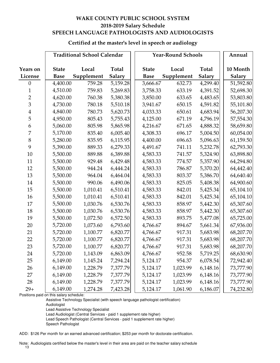# **WAKE COUNTY PUBLIC SCHOOL SYSTEM 2018-2019 Salary Schedule SPEECH LANGUAGE PATHOLOGISTS AND AUDIOLOGISTS**

#### **Certified at the master's level in speech or audiology**

|                         |              | <b>Traditional School Calendar</b> |               | <b>Year-Round Schools</b> | Annual     |               |           |
|-------------------------|--------------|------------------------------------|---------------|---------------------------|------------|---------------|-----------|
|                         |              |                                    |               |                           |            |               |           |
| Years on                | <b>State</b> | Local                              | <b>Total</b>  | <b>State</b>              | Local      | <b>Total</b>  | 10 Month  |
| License                 | <b>Base</b>  | Supplement                         | <b>Salary</b> | <b>Base</b>               | Supplement | <b>Salary</b> | Salary    |
| $\theta$                | 4,400.00     | 759.28                             | 5,159.28      | 3,666.67                  | 632.73     | 4,299.40      | 51,592.80 |
| $\mathbf{1}$            | 4,510.00     | 759.83                             | 5,269.83      | 3,758.33                  | 633.19     | 4,391.52      | 52,698.30 |
| $\overline{2}$          | 4,620.00     | 760.38                             | 5,380.38      | 3,850.00                  | 633.65     | 4,483.65      | 53,803.80 |
| 3                       | 4,730.00     | 780.18                             | 5,510.18      | 3,941.67                  | 650.15     | 4,591.82      | 55,101.80 |
| $\overline{\mathbf{4}}$ | 4,840.00     | 780.73                             | 5,620.73      | 4,033.33                  | 650.61     | 4,683.94      | 56,207.30 |
| 5                       | 4,950.00     | 805.43                             | 5,755.43      | 4,125.00                  | 671.19     | 4,796.19      | 57,554.30 |
| 6                       | 5,060.00     | 805.98                             | 5,865.98      | 4,216.67                  | 671.65     | 4,888.32      | 58,659.80 |
| 7                       | 5,170.00     | 835.40                             | 6,005.40      | 4,308.33                  | 696.17     | 5,004.50      | 60,054.00 |
| $8\,$                   | 5,280.00     | 835.95                             | 6,115.95      | 4,400.00                  | 696.63     | 5,096.63      | 61,159.50 |
| 9                       | 5,390.00     | 889.33                             | 6,279.33      | 4,491.67                  | 741.11     | 5,232.78      | 62,793.30 |
| 10                      | 5,500.00     | 889.88                             | 6,389.88      | 4,583.33                  | 741.57     | 5,324.90      | 63,898.80 |
| 11                      | 5,500.00     | 929.48                             | 6,429.48      | 4,583.33                  | 774.57     | 5,357.90      | 64,294.80 |
| 12                      | 5,500.00     | 944.24                             | 6,444.24      | 4,583.33                  | 786.87     | 5,370.20      | 64,442.40 |
| 13                      | 5,500.00     | 964.04                             | 6,464.04      | 4,583.33                  | 803.37     | 5,386.70      | 64,640.40 |
| 14                      | 5,500.00     | 990.06                             | 6,490.06      | 4,583.33                  | 825.05     | 5,408.38      | 64,900.60 |
| 15                      | 5,500.00     | 1,010.41                           | 6,510.41      | 4,583.33                  | 842.01     | 5,425.34      | 65,104.10 |
| 16                      | 5,500.00     | 1,010.41                           | 6,510.41      | 4,583.33                  | 842.01     | 5,425.34      | 65,104.10 |
| 17                      | 5,500.00     | 1,030.76                           | 6,530.76      | 4,583.33                  | 858.97     | 5,442.30      | 65,307.60 |
| 18                      | 5,500.00     | 1,030.76                           | 6,530.76      | 4,583.33                  | 858.97     | 5,442.30      | 65,307.60 |
| 19                      | 5,500.00     | 1,072.50                           | 6,572.50      | 4,583.33                  | 893.75     | 5,477.08      | 65,725.00 |
| 20                      | 5,720.00     | 1,073.60                           | 6,793.60      | 4,766.67                  | 894.67     | 5,661.34      | 67,936.00 |
| 21                      | 5,720.00     | 1,100.77                           | 6,820.77      | 4,766.67                  | 917.31     | 5,683.98      | 68,207.70 |
| 22                      | 5,720.00     | 1,100.77                           | 6,820.77      | 4,766.67                  | 917.31     | 5,683.98      | 68,207.70 |
| 23                      | 5,720.00     | 1,100.77                           | 6,820.77      | 4,766.67                  | 917.31     | 5,683.98      | 68,207.70 |
| 24                      | 5,720.00     | 1,143.09                           | 6,863.09      | 4,766.67                  | 952.58     | 5,719.25      | 68,630.90 |
| 25                      | 6,149.00     | 1,145.24                           | 7,294.24      | 5,124.17                  | 954.37     | 6,078.54      | 72,942.40 |
| 26                      | 6,149.00     | 1,228.79                           | 7,377.79      | 5,124.17                  | 1,023.99   | 6,148.16      | 73,777.90 |
| 27                      | 6,149.00     | 1,228.79                           | 7,377.79      | 5,124.17                  | 1,023.99   | 6,148.16      | 73,777.90 |
| 28                      | 6,149.00     | 1,228.79                           | 7,377.79      | 5,124.17                  | 1,023.99   | 6,148.16      | 73,777.90 |
| $29+$                   | 6,149.00     | 1,274.28                           | 7,423.28      | 5,124.17                  | 1,061.90   | 6,186.07      | 74,232.80 |

Positions paid on this salary schedule:

Assistive Technology Specialist (with speech language pathologist certification)

Audiologist

Lead Assistive Technology Specialist

Lead Audiologist (Central Services - paid 1 supplement rate higher)

Lead Speech Pathologist (Central Services - paid 1 supplement rate higher)

Speech Pathologist

ADD: \$126 Per month for an earned advanced certification; \$253 per month for doctorate certification.

Note: Audiologists certified below the master's level in their area are paid on the teacher salary schedule 13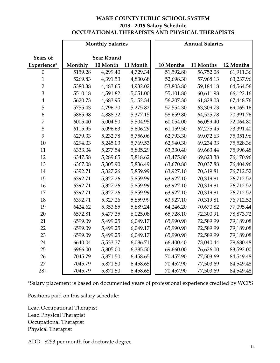# **WAKE COUNTY PUBLIC SCHOOL SYSTEM 2018 - 2019 Salary Schedule OCCUPATIONAL THERAPISTS AND PHYSICAL THERAPISTS**

|                         |         | <b>Monthly Salaries</b> |          | <b>Annual Salaries</b> |           |           |           |  |  |
|-------------------------|---------|-------------------------|----------|------------------------|-----------|-----------|-----------|--|--|
|                         |         |                         |          |                        |           |           |           |  |  |
| <b>Years of</b>         |         | <b>Year Round</b>       |          |                        |           |           |           |  |  |
| Experience*             | Monthly | 10 Month                | 11 Month |                        | 10 Months | 11 Months | 12 Months |  |  |
| $\boldsymbol{0}$        | 5159.28 | 4,299.40                | 4,729.34 |                        | 51,592.80 | 56,752.08 | 61,911.36 |  |  |
| $\mathbf{1}$            | 5269.83 | 4,391.53                | 4,830.68 |                        | 52,698.30 | 57,968.13 | 63,237.96 |  |  |
| $\overline{2}$          | 5380.38 | 4,483.65                | 4,932.02 |                        | 53,803.80 | 59,184.18 | 64,564.56 |  |  |
| 3                       | 5510.18 | 4,591.82                | 5,051.00 |                        | 55,101.80 | 60,611.98 | 66,122.16 |  |  |
| $\overline{\mathbf{4}}$ | 5620.73 | 4,683.95                | 5,152.34 |                        | 56,207.30 | 61,828.03 | 67,448.76 |  |  |
| 5                       | 5755.43 | 4,796.20                | 5,275.82 |                        | 57,554.30 | 63,309.73 | 69,065.16 |  |  |
| 6                       | 5865.98 | 4,888.32                | 5,377.15 |                        | 58,659.80 | 64,525.78 | 70,391.76 |  |  |
| $\overline{7}$          | 6005.40 | 5,004.50                | 5,504.95 |                        | 60,054.00 | 66,059.40 | 72,064.80 |  |  |
| 8                       | 6115.95 | 5,096.63                | 5,606.29 |                        | 61,159.50 | 67,275.45 | 73,391.40 |  |  |
| 9                       | 6279.33 | 5,232.78                | 5,756.06 |                        | 62,793.30 | 69,072.63 | 75,351.96 |  |  |
| 10                      | 6294.03 | 5,245.03                | 5,769.53 |                        | 62,940.30 | 69,234.33 | 75,528.36 |  |  |
| 11                      | 6333.04 | 5,277.54                | 5,805.29 |                        | 63,330.40 | 69,663.44 | 75,996.48 |  |  |
| 12                      | 6347.58 | 5,289.65                | 5,818.62 |                        | 63,475.80 | 69,823.38 | 76,170.96 |  |  |
| 13                      | 6367.08 | 5,305.90                | 5,836.49 |                        | 63,670.80 | 70,037.88 | 76,404.96 |  |  |
| 14                      | 6392.71 | 5,327.26                | 5,859.99 |                        | 63,927.10 | 70,319.81 | 76,712.52 |  |  |
| 15                      | 6392.71 | 5,327.26                | 5,859.99 |                        | 63,927.10 | 70,319.81 | 76,712.52 |  |  |
| 16                      | 6392.71 | 5,327.26                | 5,859.99 |                        | 63,927.10 | 70,319.81 | 76,712.52 |  |  |
| 17                      | 6392.71 | 5,327.26                | 5,859.99 |                        | 63,927.10 | 70,319.81 | 76,712.52 |  |  |
| 18                      | 6392.71 | 5,327.26                | 5,859.99 |                        | 63,927.10 | 70,319.81 | 76,712.52 |  |  |
| 19                      | 6424.62 | 5,353.85                | 5,889.24 |                        | 64,246.20 | 70,670.82 | 77,095.44 |  |  |
| 20                      | 6572.81 | 5,477.35                | 6,025.08 |                        | 65,728.10 | 72,300.91 | 78,873.72 |  |  |
| 21                      | 6599.09 | 5,499.25                | 6,049.17 |                        | 65,990.90 | 72,589.99 | 79,189.08 |  |  |
| 22                      | 6599.09 | 5,499.25                | 6,049.17 |                        | 65,990.90 | 72,589.99 | 79,189.08 |  |  |
| 23                      | 6599.09 | 5,499.25                | 6,049.17 |                        | 65,990.90 | 72,589.99 | 79,189.08 |  |  |
| 24                      | 6640.04 | 5,533.37                | 6,086.71 |                        | 66,400.40 | 73,040.44 | 79,680.48 |  |  |
| 25                      | 6966.00 | 5,805.00                | 6,385.50 |                        | 69,660.00 | 76,626.00 | 83,592.00 |  |  |
| 26                      | 7045.79 | 5,871.50                | 6,458.65 |                        | 70,457.90 | 77,503.69 | 84,549.48 |  |  |
| 27                      | 7045.79 | 5,871.50                | 6,458.65 |                        | 70,457.90 | 77,503.69 | 84,549.48 |  |  |
| $28+$                   | 7045.79 | 5,871.50                | 6,458.65 |                        | 70,457.90 | 77,503.69 | 84,549.48 |  |  |

\*Salary placement is based on documented years of professional experience credited by WCPS

Positions paid on this salary schedule:

Lead Occupational Therapist Lead Physical Therapist Occupational Therapist Physical Therapist

ADD: \$253 per month for doctorate degree.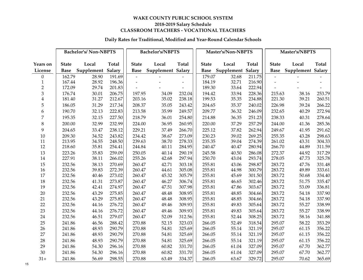#### **Daily Rates for Traditional, Modified and Year-Round Calendar Schools**

|                                |                  | <b>Bachelor's/Non-NBPTS</b> |                  |                          | Bachelor's/NBPTS  |                          |                  | Master's/Non-NBPTS |                  | Master's/NBPTS |                |                          |  |
|--------------------------------|------------------|-----------------------------|------------------|--------------------------|-------------------|--------------------------|------------------|--------------------|------------------|----------------|----------------|--------------------------|--|
|                                |                  |                             |                  |                          |                   |                          |                  |                    |                  |                |                |                          |  |
| Years on                       | <b>State</b>     | Local                       | <b>Total</b>     | <b>State</b>             | Local             | <b>Total</b>             | <b>State</b>     | Local              | <b>Total</b>     | <b>State</b>   | Local          | Total                    |  |
| License                        | <b>Base</b>      | Supplement Salary           |                  | <b>Base</b>              | Supplement Salary |                          | <b>Base</b>      | Supplement         | Salary           | <b>Base</b>    | Supplement     | <b>Salary</b>            |  |
| $\Omega$                       | 162.79           | 28.90                       | 191.69           | $\blacksquare$           |                   |                          | 179.07           | 32.68              | 211.75           |                |                |                          |  |
| $\mathbf{1}$<br>$\overline{2}$ | 167.44<br>172.09 | 28.92<br>29.74              | 196.36<br>201.83 | $\overline{\phantom{a}}$ |                   | $\overline{\phantom{a}}$ | 184.19<br>189.30 | 32.71<br>33.64     | 216.90<br>222.94 |                |                | $\overline{\phantom{a}}$ |  |
| 3                              |                  |                             | 206.75           | 197.95                   | 34.09             | 232.04                   | 194.42           |                    | 228.36           | 215.63         |                | 253.79                   |  |
| $\overline{\mathbf{4}}$        | 176.74<br>181.40 | 30.01<br>31.27              | 212.67           | 203.16                   | 35.02             | 238.18                   | 199.53           | 33.94<br>35.35     | 234.88           | 221.30         | 38.16<br>39.21 | 260.51                   |  |
| 5                              | 186.05           | 31.29                       | 217.34           | 208.37                   | 35.05             | 243.42                   | 204.65           | 35.37              | 240.02           | 226.98         | 39.24          | 266.22                   |  |
|                                | 190.70           |                             |                  |                          |                   | 249.57                   | 209.77           |                    | 246.09           | 232.65         |                |                          |  |
| 6                              |                  | 32.13                       | 222.83           | 213.58                   | 35.99             |                          |                  | 36.32              |                  |                | 40.29          | 272.94                   |  |
| 7                              | 195.35           | 32.15                       | 227.50           | 218.79                   | 36.01             | 254.80                   | 214.88           | 36.35              | 251.23           | 238.33         | 40.31          | 278.64                   |  |
| 8                              | 200.00           | 32.99                       | 232.99           | 224.00                   | 36.95             | 260.95                   | 220.00           | 37.29              | 257.29           | 244.00         | 41.36          | 285.36                   |  |
| 9                              | 204.65           | 33.47                       | 238.12           | 229.21                   | 37.49             | 266.70                   | 225.12           | 37.82              | 262.94           | 249.67         | 41.95          | 291.62                   |  |
| 10                             | 209.30           | 34.52                       | 243.82           | 234.42                   | 38.67             | 273.09                   | 230.23           | 39.02              | 269.25           | 255.35         | 43.28          | 298.63                   |  |
| 11                             | 213.95           | 34.55                       | 248.50           | 239.63                   | 38.70             | 278.33                   | 235.35           | 39.04              | 274.39           | 261.02         | 43.31          | 304.33                   |  |
| 12                             | 218.60           | 35.81                       | 254.41           | 244.84                   | 40.11             | 284.95                   | 240.47           | 40.47              | 280.94           | 266.70         | 44.89          | 311.59                   |  |
| 13                             | 223.26           | 35.83                       | 259.09           | 250.05                   | 40.14             | 290.19                   | 245.58           | 40.50              | 286.08           | 272.37         | 44.92          | 317.29                   |  |
| 14                             | 227.91           | 38.11                       | 266.02           | 255.26                   | 42.68             | 297.94                   | 250.70           | 43.04              | 293.74           | 278.05         | 47.73          | 325.78                   |  |
| 15                             | 232.56           | 38.13                       | 270.69           | 260.47                   | 42.71             | 303.18                   | 255.81           | 43.06              | 298.87           | 283.72         | 47.76          | 331.48                   |  |
| 16                             | 232.56           | 39.83                       | 272.39           | 260.47                   | 44.61             | 305.08                   | 255.81           | 44.98              | 300.79           | 283.72         | 49.89          | 333.61                   |  |
| 17                             | 232.56           | 40.46                       | 273.02           | 260.47                   | 45.32             | 305.79                   | 255.81           | 45.69              | 301.50           | 283.72         | 50.68          | 334.40                   |  |
| 18                             | 232.56           | 41.31                       | 273.87           | 260.47                   | 46.27             | 306.74                   | 255.81           | 46.65              | 302.46           | 283.72         | 51.75          | 335.47                   |  |
| 19                             | 232.56           | 42.41                       | 274.97           | 260.47                   | 47.51             | 307.98                   | 255.81           | 47.86              | 303.67           | 283.72         | 53.09          | 336.81                   |  |
| 20                             | 232.56           | 43.29                       | 275.85           | 260.47                   | 48.48             | 308.95                   | 255.81           | 48.85              | 304.66           | 283.72         | 54.18          | 337.90                   |  |
| 21                             | 232.56           | 43.29                       | 275.85           | 260.47                   | 48.48             | 308.95                   | 255.81           | 48.85              | 304.66           | 283.72         | 54.18          | 337.90                   |  |
| 22                             | 232.56           | 44.16                       | 276.72           | 260.47                   | 49.46             | 309.93                   | 255.81           | 49.83              | 305.64           | 283.72         | 55.27          | 338.99                   |  |
| 23                             | 232.56           | 44.16                       | 276.72           | 260.47                   | 49.46             | 309.93                   | 255.81           | 49.83              | 305.64           | 283.72         | 55.27          | 338.99                   |  |
| 24                             | 232.56           | 46.51                       | 279.07           | 260.47                   | 52.09             | 312.56                   | 255.81           | 52.44              | 308.25           | 283.72         | 58.16          | 341.88                   |  |
| 25                             | 241.86           | 46.56                       | 288.42           | 270.88                   | 52.15             | 323.03                   | 266.05           | 52.49              | 318.54           | 295.07         | 58.22          | 353.29                   |  |
| 26                             | 241.86           | 48.93                       | 290.79           | 270.88                   | 54.81             | 325.69                   | 266.05           | 55.14              | 321.19           | 295.07         | 61.15          | 356.22                   |  |
| 27                             | 241.86           | 48.93                       | 290.79           | 270.88                   | 54.81             | 325.69                   | 266.05           | 55.14              | 321.19           | 295.07         | 61.15          | 356.22                   |  |
| 28                             | 241.86           | 48.93                       | 290.79           | 270.88                   | 54.81             | 325.69                   | 266.05           | 55.14              | 321.19           | 295.07         | 61.15          | 356.22                   |  |
| 29                             | 241.86           | 54.30                       | 296.16           | 270.88                   | 60.82             | 331.70                   | 266.05           | 61.04              | 327.09           | 295.07         | 67.70          | 362.77                   |  |
| 30                             | 241.86           | 54.30                       | 296.16           | 270.88                   | 60.82             | 331.70                   | 266.05           | 61.04              | 327.09           | 295.07         | 67.70          | 362.77                   |  |
| $31+$                          | 241.86           | 56.69                       | 298.55           | 270.88                   | 63.49             | 334.37                   | 266.05           | 63.67              | 329.72           | 295.07         | 70.62          | 365.69                   |  |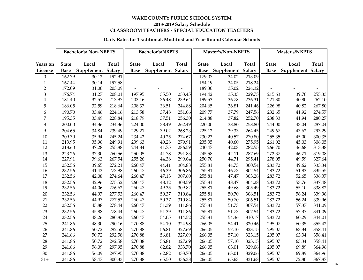#### **Daily Rates for Traditional, Modified and Year-Round Calendar Schools**

|                         |              | <b>Bachelor's/Non-NBPTS</b> |        |                | Bachelor's/NBPTS  |                          |              | Master's/Non-NBPTS            |              | Master's/NBPTS           |                   |        |  |
|-------------------------|--------------|-----------------------------|--------|----------------|-------------------|--------------------------|--------------|-------------------------------|--------------|--------------------------|-------------------|--------|--|
| Years on                | <b>State</b> | Local                       | Total  | <b>State</b>   | Local             | <b>Total</b>             | <b>State</b> | Local                         | <b>Total</b> | <b>State</b>             | Local             | Total  |  |
| License                 | <b>Base</b>  | Supplement Salary           |        | <b>Base</b>    | Supplement Salary |                          |              | <b>Base</b> Supplement Salary |              | <b>Base</b>              | Supplement Salary |        |  |
| $\boldsymbol{0}$        | 162.79       | 30.12                       | 192.91 | $\blacksquare$ |                   |                          | 179.07       | 34.02                         | 213.09       | $\overline{\phantom{a}}$ |                   |        |  |
| $\mathbf{1}$            | 167.44       | 30.14                       | 197.58 | $\blacksquare$ |                   | $\overline{\phantom{a}}$ | 184.19       | 34.05                         | 218.24       |                          |                   |        |  |
| $\overline{2}$          | 172.09       | 31.00                       | 203.09 |                |                   | $\sim$                   | 189.30       | 35.02                         | 224.32       |                          |                   |        |  |
| 3                       | 176.74       | 31.27                       | 208.01 | 197.95         | 35.50             | 233.45                   | 194.42       | 35.33                         | 229.75       | 215.63                   | 39.70             | 255.33 |  |
| $\overline{\mathbf{4}}$ | 181.40       | 32.57                       | 213.97 | 203.16         | 36.48             | 239.64                   | 199.53       | 36.78                         | 236.31       | 221.30                   | 40.80             | 262.10 |  |
| 5                       | 186.05       | 32.59                       | 218.64 | 208.37         | 36.51             | 244.88                   | 204.65       | 36.81                         | 241.46       | 226.98                   | 40.82             | 267.80 |  |
| 6                       | 190.70       | 33.46                       | 224.16 | 213.58         | 37.48             | 251.06                   | 209.77       | 37.79                         | 247.56       | 232.65                   | 41.92             | 274.57 |  |
| 7                       | 195.35       | 33.49                       | 228.84 | 218.79         | 37.51             | 256.30                   | 214.88       | 37.82                         | 252.70       | 238.33                   | 41.94             | 280.27 |  |
| 8                       | 200.00       | 34.36                       | 234.36 | 224.00         | 38.49             | 262.49                   | 220.00       | 38.80                         | 258.80       | 244.00                   | 43.04             | 287.04 |  |
| 9                       | 204.65       | 34.84                       | 239.49 | 229.21         | 39.02             | 268.23                   | 225.12       | 39.33                         | 264.45       | 249.67                   | 43.62             | 293.29 |  |
| 10                      | 209.30       | 35.94                       | 245.24 | 234.42         | 40.25             | 274.67                   | 230.23       | 40.57                         | 270.80       | 255.35                   | 45.00             | 300.35 |  |
| 11                      | 213.95       | 35.96                       | 249.91 | 239.63         | 40.28             | 279.91                   | 235.35       | 40.60                         | 275.95       | 261.02                   | 45.03             | 306.05 |  |
| 12                      | 218.60       | 37.28                       | 255.88 | 244.84         | 41.75             | 286.59                   | 240.47       | 42.08                         | 282.55       | 266.70                   | 46.68             | 313.38 |  |
| 13                      | 223.26       | 37.30                       | 260.56 | 250.05         | 41.78             | 291.83                   | 245.58       | 42.11                         | 287.69       | 272.37                   | 46.71             | 319.08 |  |
| 14                      | 227.91       | 39.63                       | 267.54 | 255.26         | 44.38             | 299.64                   | 250.70       | 44.71                         | 295.41       | 278.05                   | 49.59             | 327.64 |  |
| 15                      | 232.56       | 39.65                       | 272.21 | 260.47         | 44.41             | 304.88                   | 255.81       | 44.73                         | 300.54       | 283.72                   | 49.62             | 333.34 |  |
| 16                      | 232.56       | 41.42                       | 273.98 | 260.47         | 46.39             | 306.86                   | 255.81       | 46.73                         | 302.54       | 283.72                   | 51.83             | 335.55 |  |
| 17                      | 232.56       | 42.08                       | 274.64 | 260.47         | 47.13             | 307.60                   | 255.81       | 47.47                         | 303.28       | 283.72                   | 52.65             | 336.37 |  |
| 18                      | 232.56       | 42.96                       | 275.52 | 260.47         | 48.12             | 308.59                   | 255.81       | 48.47                         | 304.28       | 283.72                   | 53.76             | 337.48 |  |
| 19                      | 232.56       | 44.06                       | 276.62 | 260.47         | 49.35             | 309.82                   | 255.81       | 49.68                         | 305.49       | 283.72                   | 55.10             | 338.82 |  |
| 20                      | 232.56       | 44.97                       | 277.53 | 260.47         | 50.37             | 310.84                   | 255.81       | 50.70                         | 306.51       | 283.72                   | 56.24             | 339.96 |  |
| 21                      | 232.56       | 44.97                       | 277.53 | 260.47         | 50.37             | 310.84                   | 255.81       | 50.70                         | 306.51       | 283.72                   | 56.24             | 339.96 |  |
| 22                      | 232.56       | 45.88                       | 278.44 | 260.47         | 51.39             | 311.86                   | 255.81       | 51.73                         | 307.54       | 283.72                   | 57.37             | 341.09 |  |
| 23                      | 232.56       | 45.88                       | 278.44 | 260.47         | 51.39             | 311.86                   | 255.81       | 51.73                         | 307.54       | 283.72                   | 57.37             | 341.09 |  |
| 24                      | 232.56       | 48.26                       | 280.82 | 260.47         | 54.05             | 314.52                   | 255.81       | 54.36                         | 310.17       | 283.72                   | 60.29             | 344.01 |  |
| 25                      | 241.86       | 48.30                       | 290.16 | 270.88         | 54.10             | 324.98                   | 266.05       | 54.41                         | 320.46       | 295.07                   | 60.35             | 355.42 |  |
| 26                      | 241.86       | 50.72                       | 292.58 | 270.88         | 56.81             | 327.69                   | 266.05       | 57.10                         | 323.15       | 295.07                   | 63.34             | 358.41 |  |
| 27                      | 241.86       | 50.72                       | 292.58 | 270.88         | 56.81             | 327.69                   | 266.05       | 57.10                         | 323.15       | 295.07                   | 63.34             | 358.41 |  |
| 28                      | 241.86       | 50.72                       | 292.58 | 270.88         | 56.81             | 327.69                   | 266.05       | 57.10                         | 323.15       | 295.07                   | 63.34             | 358.41 |  |
| 29                      | 241.86       | 56.09                       | 297.95 | 270.88         | 62.82             | 333.70                   | 266.05       | 63.01                         | 329.06       | 295.07                   | 69.89             | 364.96 |  |
| 30                      | 241.86       | 56.09                       | 297.95 | 270.88         | 62.82             | 333.70                   | 266.05       | 63.01                         | 329.06       | 295.07                   | 69.89             | 364.96 |  |
| $31+$                   | 241.86       | 58.47                       | 300.33 | 270.88         | 65.50             | 336.38                   | 266.05       | 65.63                         | 331.68       | 295.07                   | 72.80             | 367.87 |  |